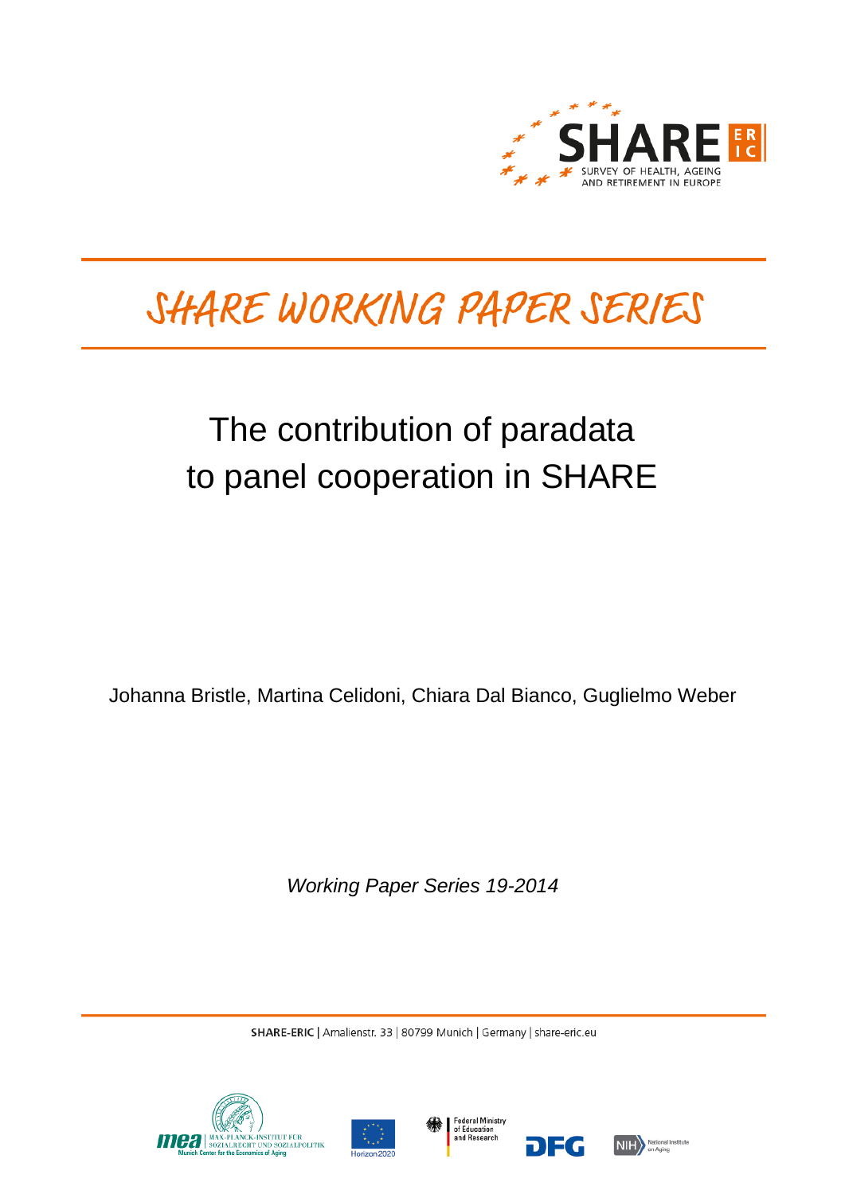

# SHARE WORKING PAPER SERIES

# The contribution of paradata to panel cooperation in SHARE

Johanna Bristle, Martina Celidoni, Chiara Dal Bianco, Guglielmo Weber

*Working Paper Series 19-2014*

SHARE-ERIC | Amalienstr. 33 | 80799 Munich | Germany | share-eric.eu







DEG

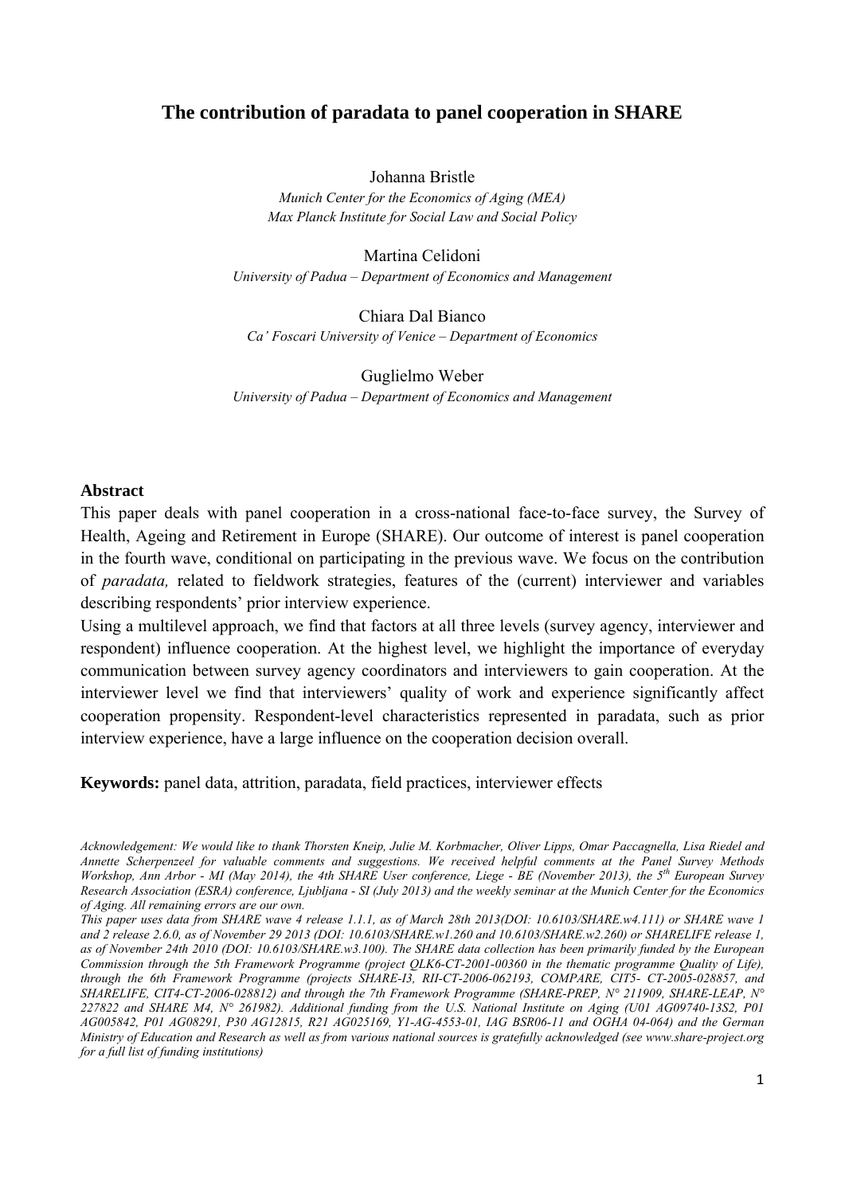# **The contribution of paradata to panel cooperation in SHARE**

Johanna Bristle

*Munich Center for the Economics of Aging (MEA) Max Planck Institute for Social Law and Social Policy* 

Martina Celidoni *University of Padua – Department of Economics and Management* 

Chiara Dal Bianco *Ca' Foscari University of Venice – Department of Economics* 

Guglielmo Weber *University of Padua – Department of Economics and Management* 

#### **Abstract**

This paper deals with panel cooperation in a cross-national face-to-face survey, the Survey of Health, Ageing and Retirement in Europe (SHARE). Our outcome of interest is panel cooperation in the fourth wave, conditional on participating in the previous wave. We focus on the contribution of *paradata,* related to fieldwork strategies, features of the (current) interviewer and variables describing respondents' prior interview experience.

Using a multilevel approach, we find that factors at all three levels (survey agency, interviewer and respondent) influence cooperation. At the highest level, we highlight the importance of everyday communication between survey agency coordinators and interviewers to gain cooperation. At the interviewer level we find that interviewers' quality of work and experience significantly affect cooperation propensity. Respondent-level characteristics represented in paradata, such as prior interview experience, have a large influence on the cooperation decision overall.

**Keywords:** panel data, attrition, paradata, field practices, interviewer effects

*Acknowledgement: We would like to thank Thorsten Kneip, Julie M. Korbmacher, Oliver Lipps, Omar Paccagnella, Lisa Riedel and Annette Scherpenzeel for valuable comments and suggestions. We received helpful comments at the Panel Survey Methods Workshop, Ann Arbor - MI (May 2014), the 4th SHARE User conference, Liege - BE (November 2013), the 5th European Survey Research Association (ESRA) conference, Ljubljana - SI (July 2013) and the weekly seminar at the Munich Center for the Economics of Aging. All remaining errors are our own.* 

*This paper uses data from SHARE wave 4 release 1.1.1, as of March 28th 2013(DOI: 10.6103/SHARE.w4.111) or SHARE wave 1 and 2 release 2.6.0, as of November 29 2013 (DOI: 10.6103/SHARE.w1.260 and 10.6103/SHARE.w2.260) or SHARELIFE release 1, as of November 24th 2010 (DOI: 10.6103/SHARE.w3.100). The SHARE data collection has been primarily funded by the European Commission through the 5th Framework Programme (project QLK6-CT-2001-00360 in the thematic programme Quality of Life), through the 6th Framework Programme (projects SHARE-I3, RII-CT-2006-062193, COMPARE, CIT5- CT-2005-028857, and SHARELIFE, CIT4-CT-2006-028812) and through the 7th Framework Programme (SHARE-PREP, N° 211909, SHARE-LEAP, N° 227822 and SHARE M4, N° 261982). Additional funding from the U.S. National Institute on Aging (U01 AG09740-13S2, P01 AG005842, P01 AG08291, P30 AG12815, R21 AG025169, Y1-AG-4553-01, IAG BSR06-11 and OGHA 04-064) and the German Ministry of Education and Research as well as from various national sources is gratefully acknowledged (see www.share-project.org for a full list of funding institutions)*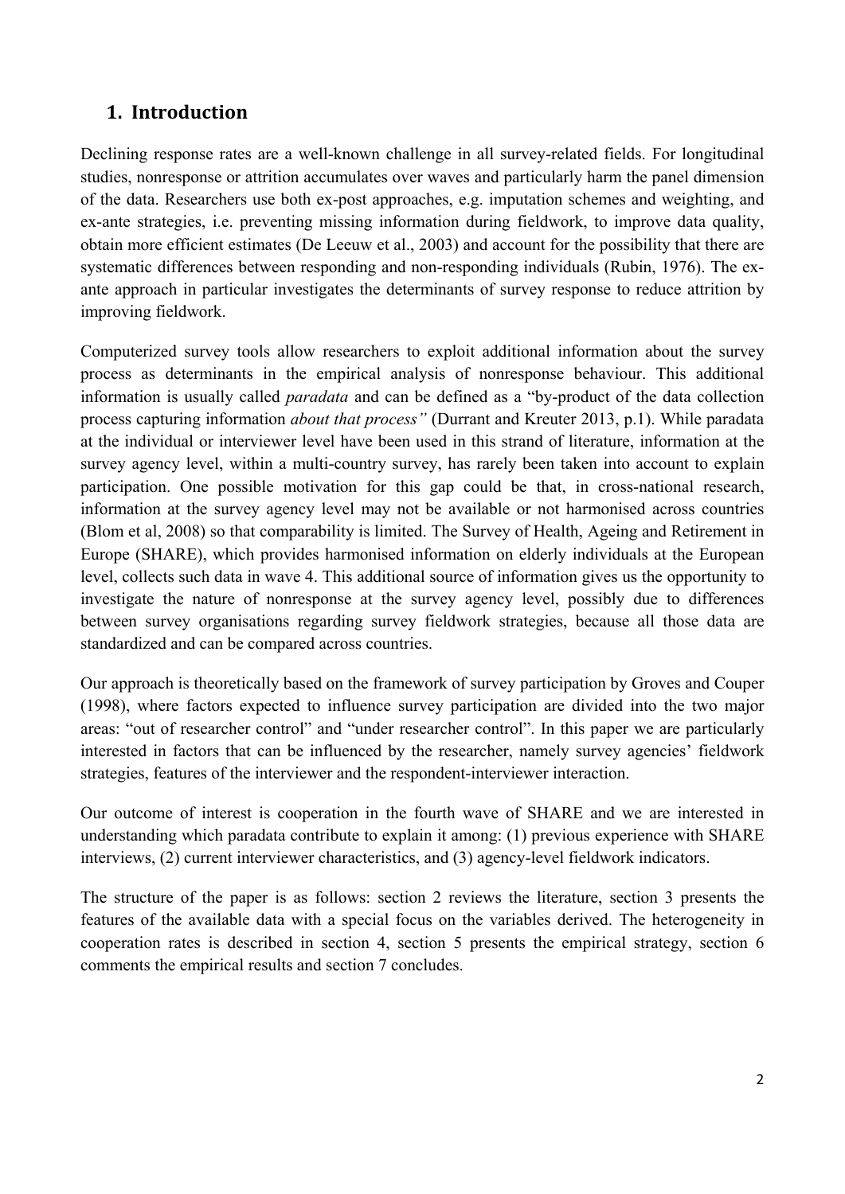# **1. Introduction**

Declining response rates are a well-known challenge in all survey-related fields. For longitudinal studies, nonresponse or attrition accumulates over waves and particularly harm the panel dimension of the data. Researchers use both ex-post approaches, e.g. imputation schemes and weighting, and ex-ante strategies, i.e. preventing missing information during fieldwork, to improve data quality, obtain more efficient estimates (De Leeuw et al., 2003) and account for the possibility that there are systematic differences between responding and non-responding individuals (Rubin, 1976). The exante approach in particular investigates the determinants of survey response to reduce attrition by improving fieldwork.

Computerized survey tools allow researchers to exploit additional information about the survey process as determinants in the empirical analysis of nonresponse behaviour. This additional information is usually called *paradata* and can be defined as a "by-product of the data collection process capturing information *about that process"* (Durrant and Kreuter 2013, p.1). While paradata at the individual or interviewer level have been used in this strand of literature, information at the survey agency level, within a multi-country survey, has rarely been taken into account to explain participation. One possible motivation for this gap could be that, in cross-national research, information at the survey agency level may not be available or not harmonised across countries (Blom et al, 2008) so that comparability is limited. The Survey of Health, Ageing and Retirement in Europe (SHARE), which provides harmonised information on elderly individuals at the European level, collects such data in wave 4. This additional source of information gives us the opportunity to investigate the nature of nonresponse at the survey agency level, possibly due to differences between survey organisations regarding survey fieldwork strategies, because all those data are standardized and can be compared across countries.

Our approach is theoretically based on the framework of survey participation by Groves and Couper (1998), where factors expected to influence survey participation are divided into the two major areas: "out of researcher control" and "under researcher control". In this paper we are particularly interested in factors that can be influenced by the researcher, namely survey agencies' fieldwork strategies, features of the interviewer and the respondent-interviewer interaction.

Our outcome of interest is cooperation in the fourth wave of SHARE and we are interested in understanding which paradata contribute to explain it among: (1) previous experience with SHARE interviews, (2) current interviewer characteristics, and (3) agency-level fieldwork indicators.

The structure of the paper is as follows: section 2 reviews the literature, section 3 presents the features of the available data with a special focus on the variables derived. The heterogeneity in cooperation rates is described in section 4, section 5 presents the empirical strategy, section 6 comments the empirical results and section 7 concludes.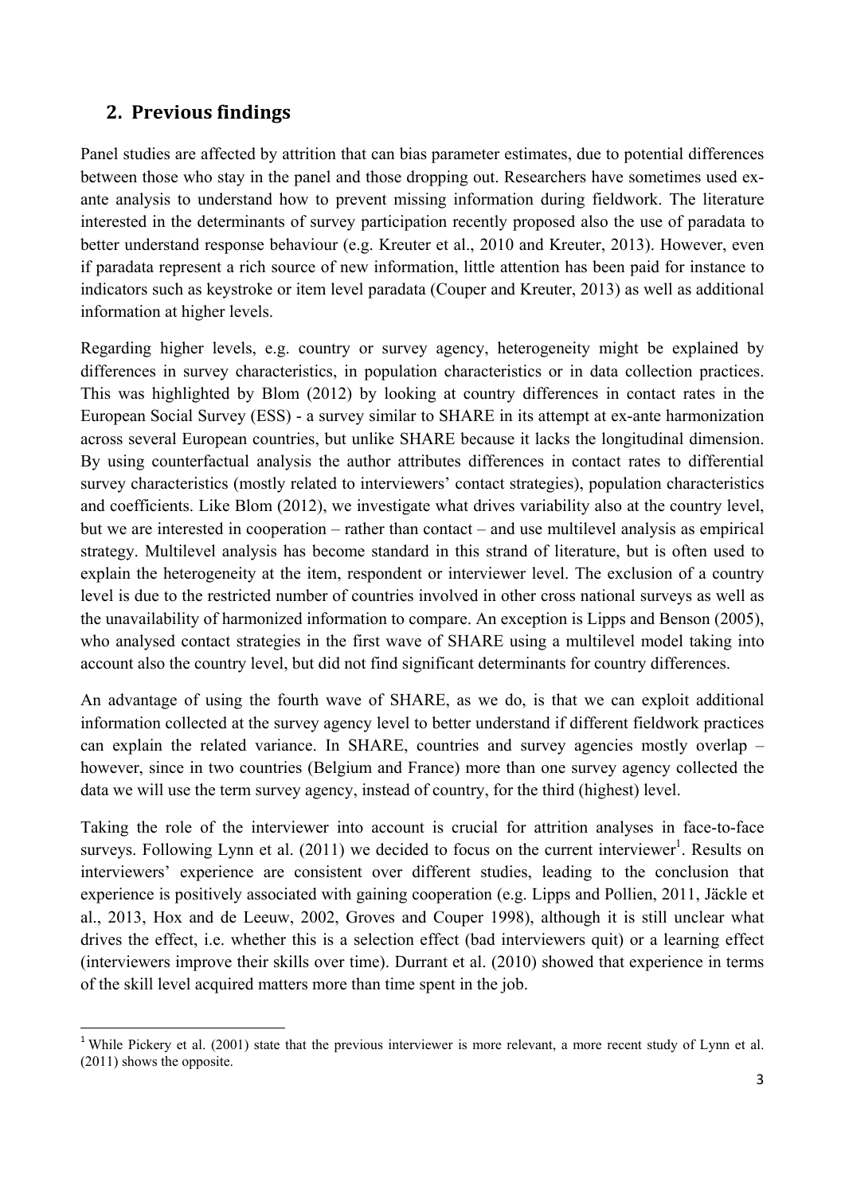# **2. Previous findings**

Panel studies are affected by attrition that can bias parameter estimates, due to potential differences between those who stay in the panel and those dropping out. Researchers have sometimes used exante analysis to understand how to prevent missing information during fieldwork. The literature interested in the determinants of survey participation recently proposed also the use of paradata to better understand response behaviour (e.g. Kreuter et al., 2010 and Kreuter, 2013). However, even if paradata represent a rich source of new information, little attention has been paid for instance to indicators such as keystroke or item level paradata (Couper and Kreuter, 2013) as well as additional information at higher levels.

Regarding higher levels, e.g. country or survey agency, heterogeneity might be explained by differences in survey characteristics, in population characteristics or in data collection practices. This was highlighted by Blom (2012) by looking at country differences in contact rates in the European Social Survey (ESS) - a survey similar to SHARE in its attempt at ex-ante harmonization across several European countries, but unlike SHARE because it lacks the longitudinal dimension. By using counterfactual analysis the author attributes differences in contact rates to differential survey characteristics (mostly related to interviewers' contact strategies), population characteristics and coefficients. Like Blom (2012), we investigate what drives variability also at the country level, but we are interested in cooperation – rather than contact – and use multilevel analysis as empirical strategy. Multilevel analysis has become standard in this strand of literature, but is often used to explain the heterogeneity at the item, respondent or interviewer level. The exclusion of a country level is due to the restricted number of countries involved in other cross national surveys as well as the unavailability of harmonized information to compare. An exception is Lipps and Benson (2005), who analysed contact strategies in the first wave of SHARE using a multilevel model taking into account also the country level, but did not find significant determinants for country differences.

An advantage of using the fourth wave of SHARE, as we do, is that we can exploit additional information collected at the survey agency level to better understand if different fieldwork practices can explain the related variance. In SHARE, countries and survey agencies mostly overlap – however, since in two countries (Belgium and France) more than one survey agency collected the data we will use the term survey agency, instead of country, for the third (highest) level.

Taking the role of the interviewer into account is crucial for attrition analyses in face-to-face surveys. Following Lynn et al.  $(2011)$  we decided to focus on the current interviewer<sup>1</sup>. Results on interviewers' experience are consistent over different studies, leading to the conclusion that experience is positively associated with gaining cooperation (e.g. Lipps and Pollien, 2011, Jäckle et al., 2013, Hox and de Leeuw, 2002, Groves and Couper 1998), although it is still unclear what drives the effect, i.e. whether this is a selection effect (bad interviewers quit) or a learning effect (interviewers improve their skills over time). Durrant et al. (2010) showed that experience in terms of the skill level acquired matters more than time spent in the job.

<sup>&</sup>lt;sup>1</sup> While Pickery et al. (2001) state that the previous interviewer is more relevant, a more recent study of Lynn et al. (2011) shows the opposite.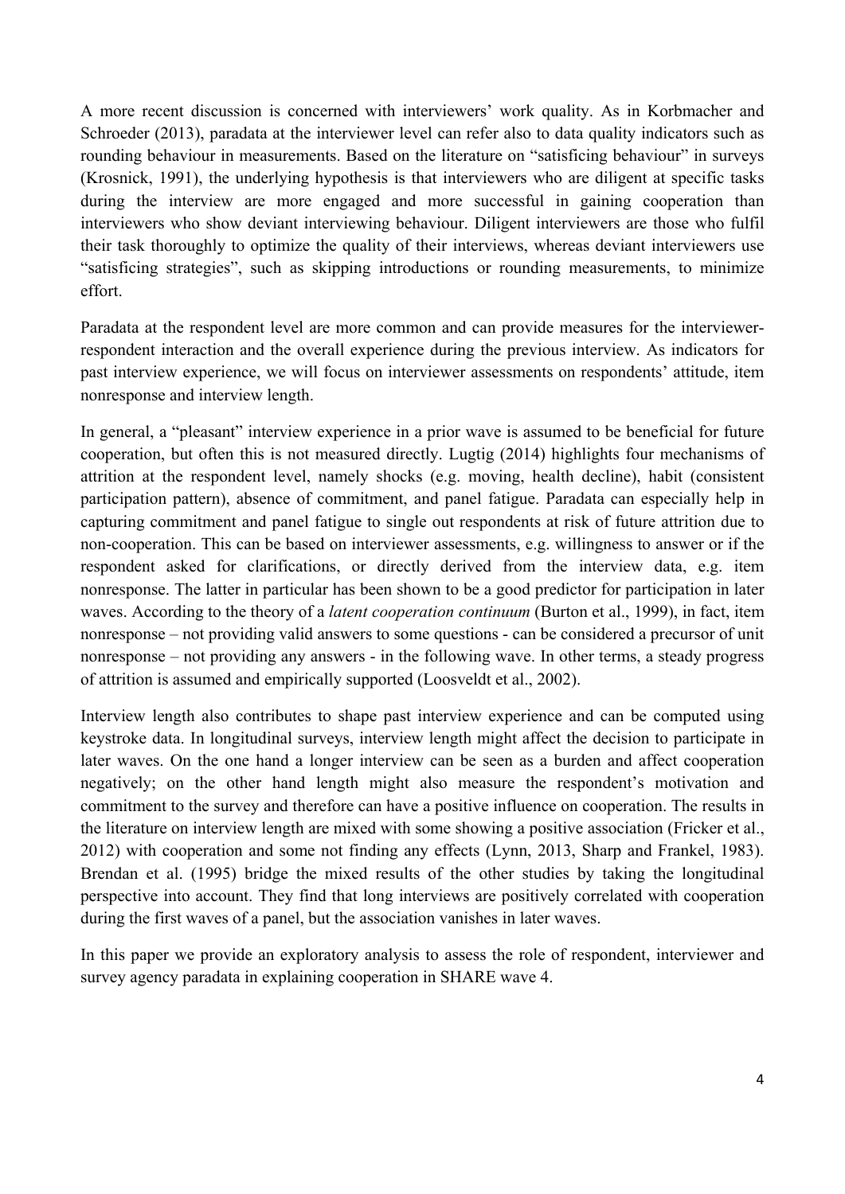A more recent discussion is concerned with interviewers' work quality. As in Korbmacher and Schroeder (2013), paradata at the interviewer level can refer also to data quality indicators such as rounding behaviour in measurements. Based on the literature on "satisficing behaviour" in surveys (Krosnick, 1991), the underlying hypothesis is that interviewers who are diligent at specific tasks during the interview are more engaged and more successful in gaining cooperation than interviewers who show deviant interviewing behaviour. Diligent interviewers are those who fulfil their task thoroughly to optimize the quality of their interviews, whereas deviant interviewers use "satisficing strategies", such as skipping introductions or rounding measurements, to minimize effort.

Paradata at the respondent level are more common and can provide measures for the interviewerrespondent interaction and the overall experience during the previous interview. As indicators for past interview experience, we will focus on interviewer assessments on respondents' attitude, item nonresponse and interview length.

In general, a "pleasant" interview experience in a prior wave is assumed to be beneficial for future cooperation, but often this is not measured directly. Lugtig (2014) highlights four mechanisms of attrition at the respondent level, namely shocks (e.g. moving, health decline), habit (consistent participation pattern), absence of commitment, and panel fatigue. Paradata can especially help in capturing commitment and panel fatigue to single out respondents at risk of future attrition due to non-cooperation. This can be based on interviewer assessments, e.g. willingness to answer or if the respondent asked for clarifications, or directly derived from the interview data, e.g. item nonresponse. The latter in particular has been shown to be a good predictor for participation in later waves. According to the theory of a *latent cooperation continuum* (Burton et al., 1999), in fact, item nonresponse – not providing valid answers to some questions - can be considered a precursor of unit nonresponse – not providing any answers - in the following wave. In other terms, a steady progress of attrition is assumed and empirically supported (Loosveldt et al., 2002).

Interview length also contributes to shape past interview experience and can be computed using keystroke data. In longitudinal surveys, interview length might affect the decision to participate in later waves. On the one hand a longer interview can be seen as a burden and affect cooperation negatively; on the other hand length might also measure the respondent's motivation and commitment to the survey and therefore can have a positive influence on cooperation. The results in the literature on interview length are mixed with some showing a positive association (Fricker et al., 2012) with cooperation and some not finding any effects (Lynn, 2013, Sharp and Frankel, 1983). Brendan et al. (1995) bridge the mixed results of the other studies by taking the longitudinal perspective into account. They find that long interviews are positively correlated with cooperation during the first waves of a panel, but the association vanishes in later waves.

In this paper we provide an exploratory analysis to assess the role of respondent, interviewer and survey agency paradata in explaining cooperation in SHARE wave 4.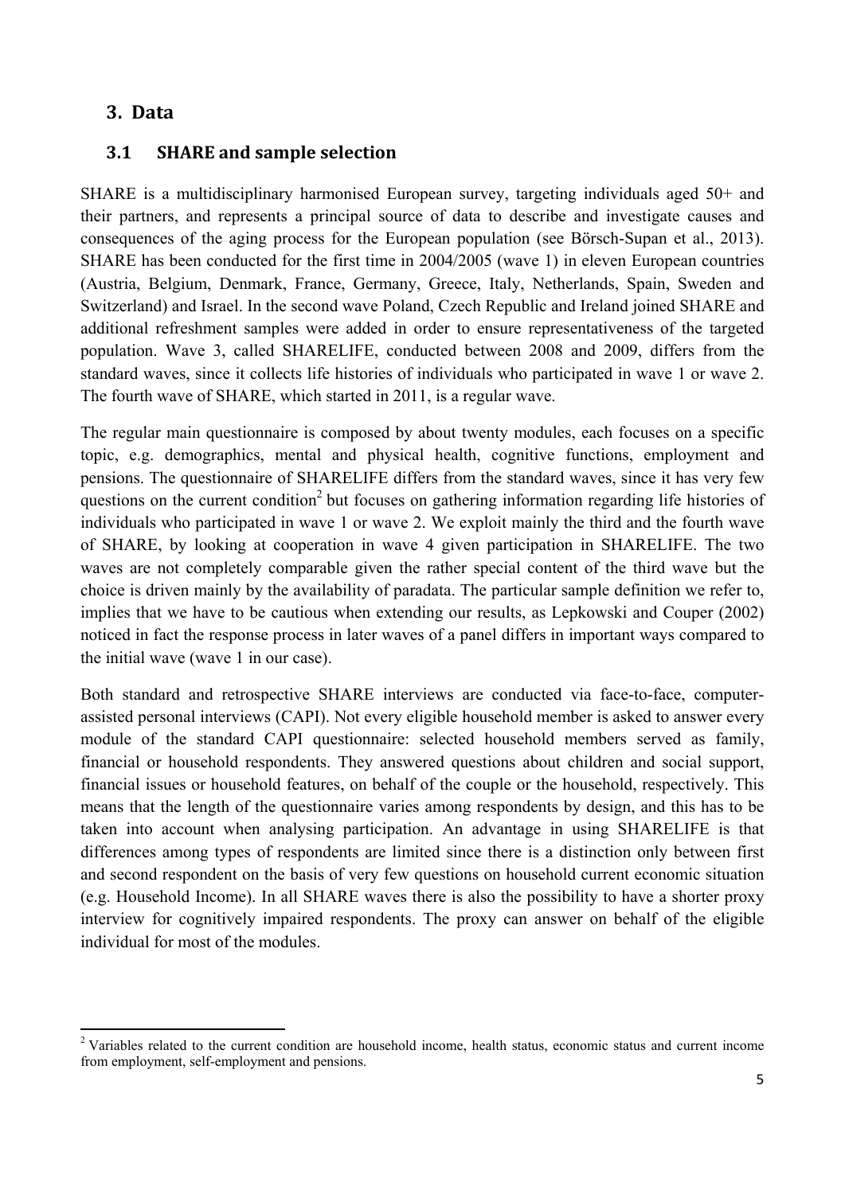# **3. Data**

## **3.1 SHARE and sample selection**

SHARE is a multidisciplinary harmonised European survey, targeting individuals aged 50+ and their partners, and represents a principal source of data to describe and investigate causes and consequences of the aging process for the European population (see Bӧrsch-Supan et al., 2013). SHARE has been conducted for the first time in 2004/2005 (wave 1) in eleven European countries (Austria, Belgium, Denmark, France, Germany, Greece, Italy, Netherlands, Spain, Sweden and Switzerland) and Israel. In the second wave Poland, Czech Republic and Ireland joined SHARE and additional refreshment samples were added in order to ensure representativeness of the targeted population. Wave 3, called SHARELIFE, conducted between 2008 and 2009, differs from the standard waves, since it collects life histories of individuals who participated in wave 1 or wave 2. The fourth wave of SHARE, which started in 2011, is a regular wave.

The regular main questionnaire is composed by about twenty modules, each focuses on a specific topic, e.g. demographics, mental and physical health, cognitive functions, employment and pensions. The questionnaire of SHARELIFE differs from the standard waves, since it has very few questions on the current condition<sup>2</sup> but focuses on gathering information regarding life histories of individuals who participated in wave 1 or wave 2. We exploit mainly the third and the fourth wave of SHARE, by looking at cooperation in wave 4 given participation in SHARELIFE. The two waves are not completely comparable given the rather special content of the third wave but the choice is driven mainly by the availability of paradata. The particular sample definition we refer to, implies that we have to be cautious when extending our results, as Lepkowski and Couper (2002) noticed in fact the response process in later waves of a panel differs in important ways compared to the initial wave (wave 1 in our case).

Both standard and retrospective SHARE interviews are conducted via face-to-face, computerassisted personal interviews (CAPI). Not every eligible household member is asked to answer every module of the standard CAPI questionnaire: selected household members served as family, financial or household respondents. They answered questions about children and social support, financial issues or household features, on behalf of the couple or the household, respectively. This means that the length of the questionnaire varies among respondents by design, and this has to be taken into account when analysing participation. An advantage in using SHARELIFE is that differences among types of respondents are limited since there is a distinction only between first and second respondent on the basis of very few questions on household current economic situation (e.g. Household Income). In all SHARE waves there is also the possibility to have a shorter proxy interview for cognitively impaired respondents. The proxy can answer on behalf of the eligible individual for most of the modules.

<sup>&</sup>lt;sup>2</sup> Variables related to the current condition are household income, health status, economic status and current income from employment, self-employment and pensions.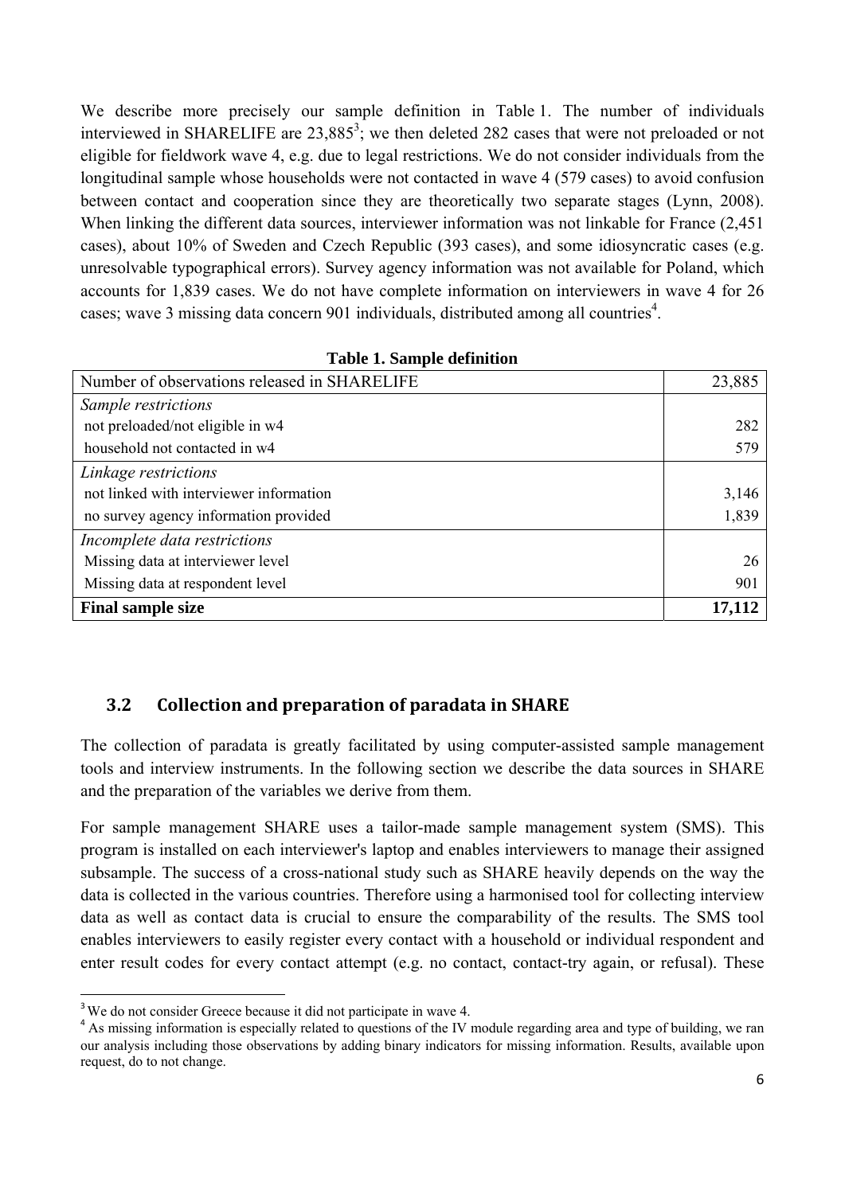We describe more precisely our sample definition in Table 1. The number of individuals interviewed in SHARELIFE are  $23,885^3$ ; we then deleted 282 cases that were not preloaded or not eligible for fieldwork wave 4, e.g. due to legal restrictions. We do not consider individuals from the longitudinal sample whose households were not contacted in wave 4 (579 cases) to avoid confusion between contact and cooperation since they are theoretically two separate stages (Lynn, 2008). When linking the different data sources, interviewer information was not linkable for France (2,451 cases), about 10% of Sweden and Czech Republic (393 cases), and some idiosyncratic cases (e.g. unresolvable typographical errors). Survey agency information was not available for Poland, which accounts for 1,839 cases. We do not have complete information on interviewers in wave 4 for 26 cases; wave 3 missing data concern 901 individuals, distributed among all countries<sup>4</sup>.

| Number of observations released in SHARELIFE | 23,885 |
|----------------------------------------------|--------|
| Sample restrictions                          |        |
| not preloaded/not eligible in w4             | 282    |
| household not contacted in w4                | 579    |
| Linkage restrictions                         |        |
| not linked with interviewer information      | 3,146  |
| no survey agency information provided        | 1,839  |
| Incomplete data restrictions                 |        |
| Missing data at interviewer level            | 26     |
| Missing data at respondent level             | 901    |
| <b>Final sample size</b>                     | 17,112 |

|  |  |  |  | <b>Table 1. Sample definition</b> |
|--|--|--|--|-----------------------------------|
|--|--|--|--|-----------------------------------|

# **3.2 Collection and preparation of paradata in SHARE**

The collection of paradata is greatly facilitated by using computer-assisted sample management tools and interview instruments. In the following section we describe the data sources in SHARE and the preparation of the variables we derive from them.

For sample management SHARE uses a tailor-made sample management system (SMS). This program is installed on each interviewer's laptop and enables interviewers to manage their assigned subsample. The success of a cross-national study such as SHARE heavily depends on the way the data is collected in the various countries. Therefore using a harmonised tool for collecting interview data as well as contact data is crucial to ensure the comparability of the results. The SMS tool enables interviewers to easily register every contact with a household or individual respondent and enter result codes for every contact attempt (e.g. no contact, contact-try again, or refusal). These

<sup>&</sup>lt;sup>3</sup> We do not consider Greece because it did not participate in wave 4.

<sup>&</sup>lt;sup>4</sup> As missing information is especially related to questions of the IV module regarding area and type of building, we ran our analysis including those observations by adding binary indicators for missing information. Results, available upon request, do to not change.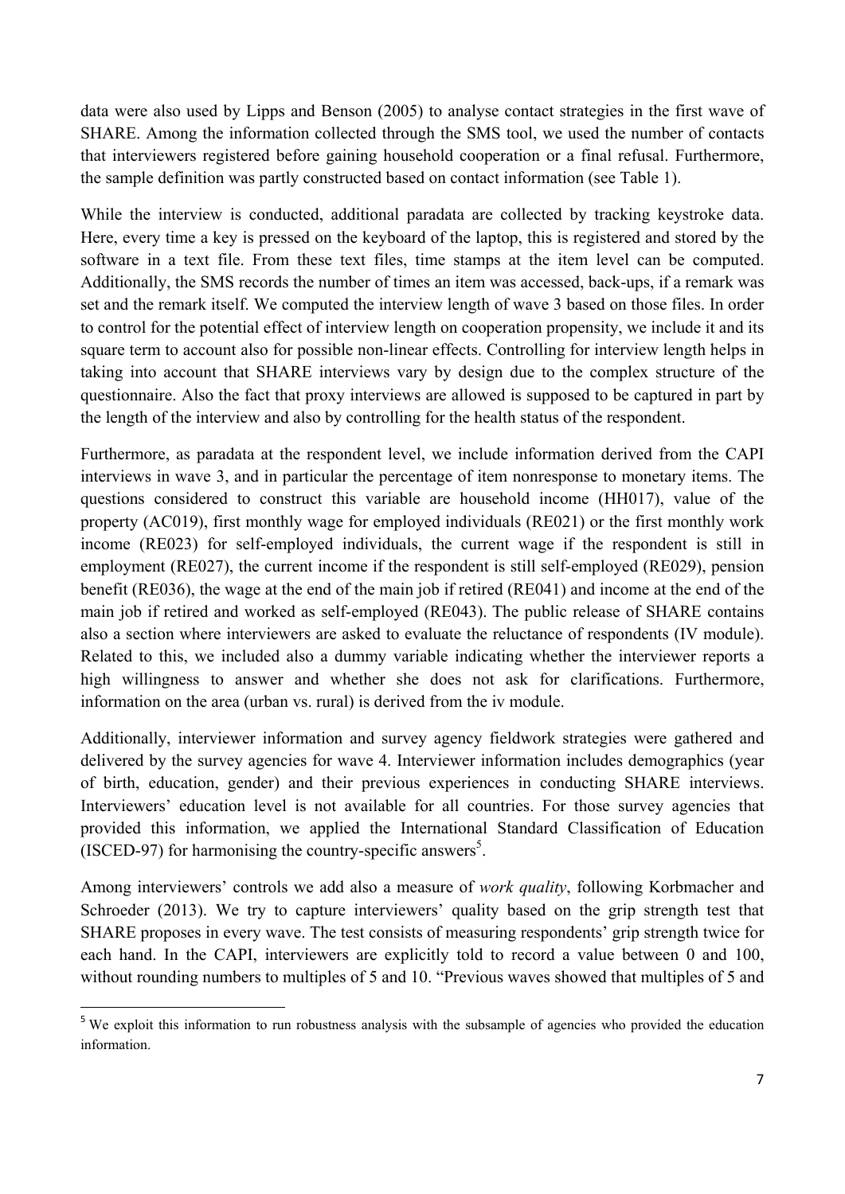data were also used by Lipps and Benson (2005) to analyse contact strategies in the first wave of SHARE. Among the information collected through the SMS tool, we used the number of contacts that interviewers registered before gaining household cooperation or a final refusal. Furthermore, the sample definition was partly constructed based on contact information (see Table 1).

While the interview is conducted, additional paradata are collected by tracking keystroke data. Here, every time a key is pressed on the keyboard of the laptop, this is registered and stored by the software in a text file. From these text files, time stamps at the item level can be computed. Additionally, the SMS records the number of times an item was accessed, back-ups, if a remark was set and the remark itself. We computed the interview length of wave 3 based on those files. In order to control for the potential effect of interview length on cooperation propensity, we include it and its square term to account also for possible non-linear effects. Controlling for interview length helps in taking into account that SHARE interviews vary by design due to the complex structure of the questionnaire. Also the fact that proxy interviews are allowed is supposed to be captured in part by the length of the interview and also by controlling for the health status of the respondent.

Furthermore, as paradata at the respondent level, we include information derived from the CAPI interviews in wave 3, and in particular the percentage of item nonresponse to monetary items. The questions considered to construct this variable are household income (HH017), value of the property (AC019), first monthly wage for employed individuals (RE021) or the first monthly work income (RE023) for self-employed individuals, the current wage if the respondent is still in employment (RE027), the current income if the respondent is still self-employed (RE029), pension benefit (RE036), the wage at the end of the main job if retired (RE041) and income at the end of the main job if retired and worked as self-employed (RE043). The public release of SHARE contains also a section where interviewers are asked to evaluate the reluctance of respondents (IV module). Related to this, we included also a dummy variable indicating whether the interviewer reports a high willingness to answer and whether she does not ask for clarifications. Furthermore, information on the area (urban vs. rural) is derived from the iv module.

Additionally, interviewer information and survey agency fieldwork strategies were gathered and delivered by the survey agencies for wave 4. Interviewer information includes demographics (year of birth, education, gender) and their previous experiences in conducting SHARE interviews. Interviewers' education level is not available for all countries. For those survey agencies that provided this information, we applied the International Standard Classification of Education (ISCED-97) for harmonising the country-specific answers<sup>5</sup>.

Among interviewers' controls we add also a measure of *work quality*, following Korbmacher and Schroeder (2013). We try to capture interviewers' quality based on the grip strength test that SHARE proposes in every wave. The test consists of measuring respondents' grip strength twice for each hand. In the CAPI, interviewers are explicitly told to record a value between 0 and 100, without rounding numbers to multiples of 5 and 10. "Previous waves showed that multiples of 5 and

<sup>&</sup>lt;sup>5</sup> We exploit this information to run robustness analysis with the subsample of agencies who provided the education information.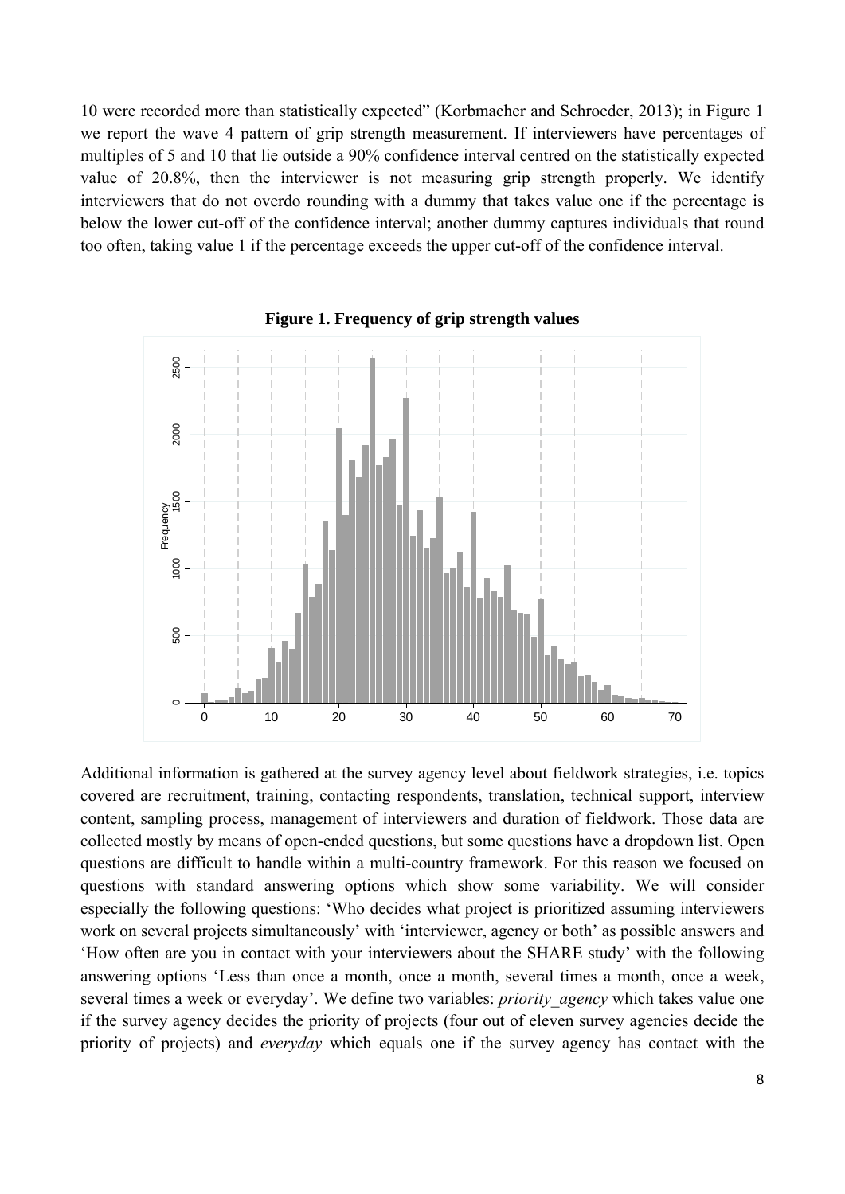10 were recorded more than statistically expected" (Korbmacher and Schroeder, 2013); in Figure 1 we report the wave 4 pattern of grip strength measurement. If interviewers have percentages of multiples of 5 and 10 that lie outside a 90% confidence interval centred on the statistically expected value of 20.8%, then the interviewer is not measuring grip strength properly. We identify interviewers that do not overdo rounding with a dummy that takes value one if the percentage is below the lower cut-off of the confidence interval; another dummy captures individuals that round too often, taking value 1 if the percentage exceeds the upper cut-off of the confidence interval.



**Figure 1. Frequency of grip strength values** 

Additional information is gathered at the survey agency level about fieldwork strategies, i.e. topics covered are recruitment, training, contacting respondents, translation, technical support, interview content, sampling process, management of interviewers and duration of fieldwork. Those data are collected mostly by means of open-ended questions, but some questions have a dropdown list. Open questions are difficult to handle within a multi-country framework. For this reason we focused on questions with standard answering options which show some variability. We will consider especially the following questions: 'Who decides what project is prioritized assuming interviewers work on several projects simultaneously' with 'interviewer, agency or both' as possible answers and 'How often are you in contact with your interviewers about the SHARE study' with the following answering options 'Less than once a month, once a month, several times a month, once a week, several times a week or everyday'. We define two variables: *priority\_agency* which takes value one if the survey agency decides the priority of projects (four out of eleven survey agencies decide the priority of projects) and *everyday* which equals one if the survey agency has contact with the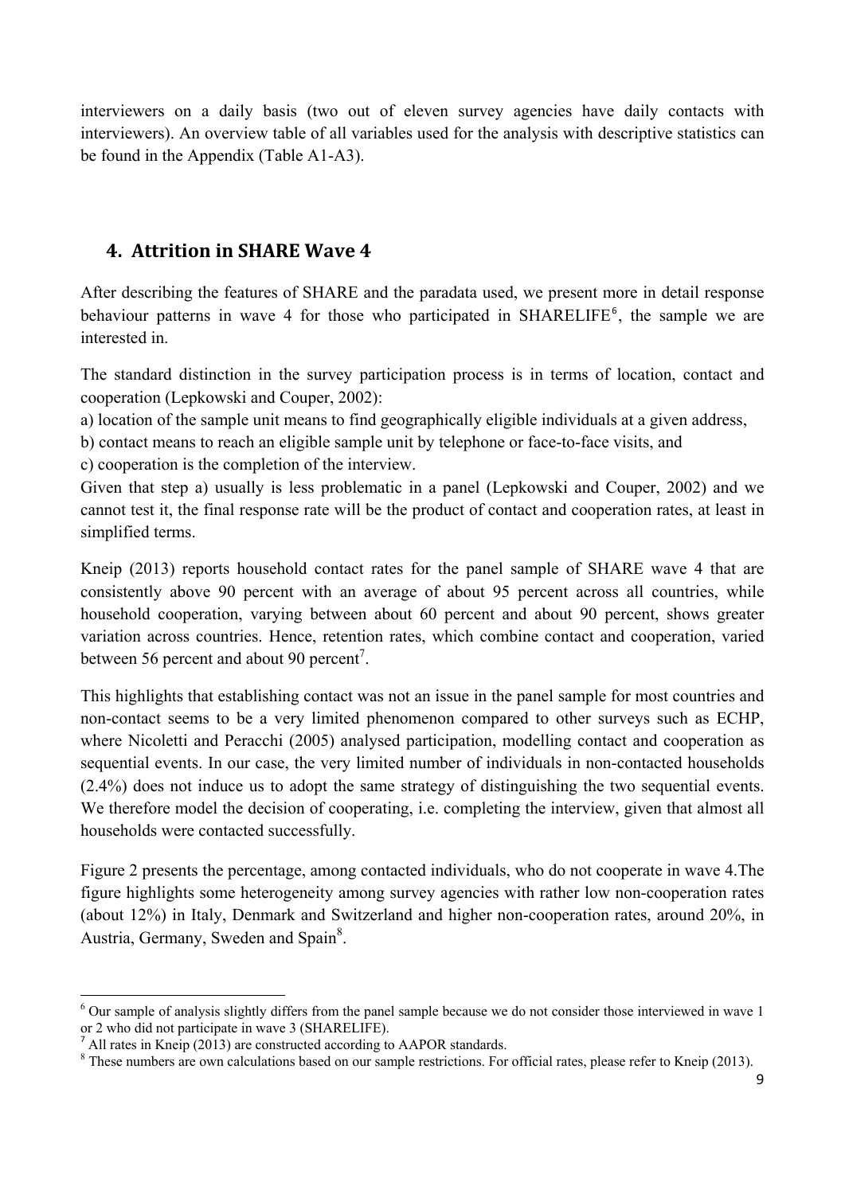interviewers on a daily basis (two out of eleven survey agencies have daily contacts with interviewers). An overview table of all variables used for the analysis with descriptive statistics can be found in the Appendix (Table A1-A3).

# **4. Attrition in SHARE Wave 4**

After describing the features of SHARE and the paradata used, we present more in detail response behaviour patterns in wave 4 for those who participated in  $SHARELIFE<sup>6</sup>$ , the sample we are interested in.

The standard distinction in the survey participation process is in terms of location, contact and cooperation (Lepkowski and Couper, 2002):

a) location of the sample unit means to find geographically eligible individuals at a given address,

b) contact means to reach an eligible sample unit by telephone or face-to-face visits, and

c) cooperation is the completion of the interview.

Given that step a) usually is less problematic in a panel (Lepkowski and Couper, 2002) and we cannot test it, the final response rate will be the product of contact and cooperation rates, at least in simplified terms.

Kneip (2013) reports household contact rates for the panel sample of SHARE wave 4 that are consistently above 90 percent with an average of about 95 percent across all countries, while household cooperation, varying between about 60 percent and about 90 percent, shows greater variation across countries. Hence, retention rates, which combine contact and cooperation, varied between 56 percent and about 90 percent<sup>7</sup>.

This highlights that establishing contact was not an issue in the panel sample for most countries and non-contact seems to be a very limited phenomenon compared to other surveys such as ECHP, where Nicoletti and Peracchi (2005) analysed participation, modelling contact and cooperation as sequential events. In our case, the very limited number of individuals in non-contacted households (2.4%) does not induce us to adopt the same strategy of distinguishing the two sequential events. We therefore model the decision of cooperating, i.e. completing the interview, given that almost all households were contacted successfully.

Figure 2 presents the percentage, among contacted individuals, who do not cooperate in wave 4.The figure highlights some heterogeneity among survey agencies with rather low non-cooperation rates (about 12%) in Italy, Denmark and Switzerland and higher non-cooperation rates, around 20%, in Austria, Germany, Sweden and Spain<sup>8</sup>.

  $6$  Our sample of analysis slightly differs from the panel sample because we do not consider those interviewed in wave 1 or 2 who did not participate in wave 3 (SHARELIFE).

All rates in Kneip (2013) are constructed according to AAPOR standards.

<sup>&</sup>lt;sup>8</sup> These numbers are own calculations based on our sample restrictions. For official rates, please refer to Kneip (2013).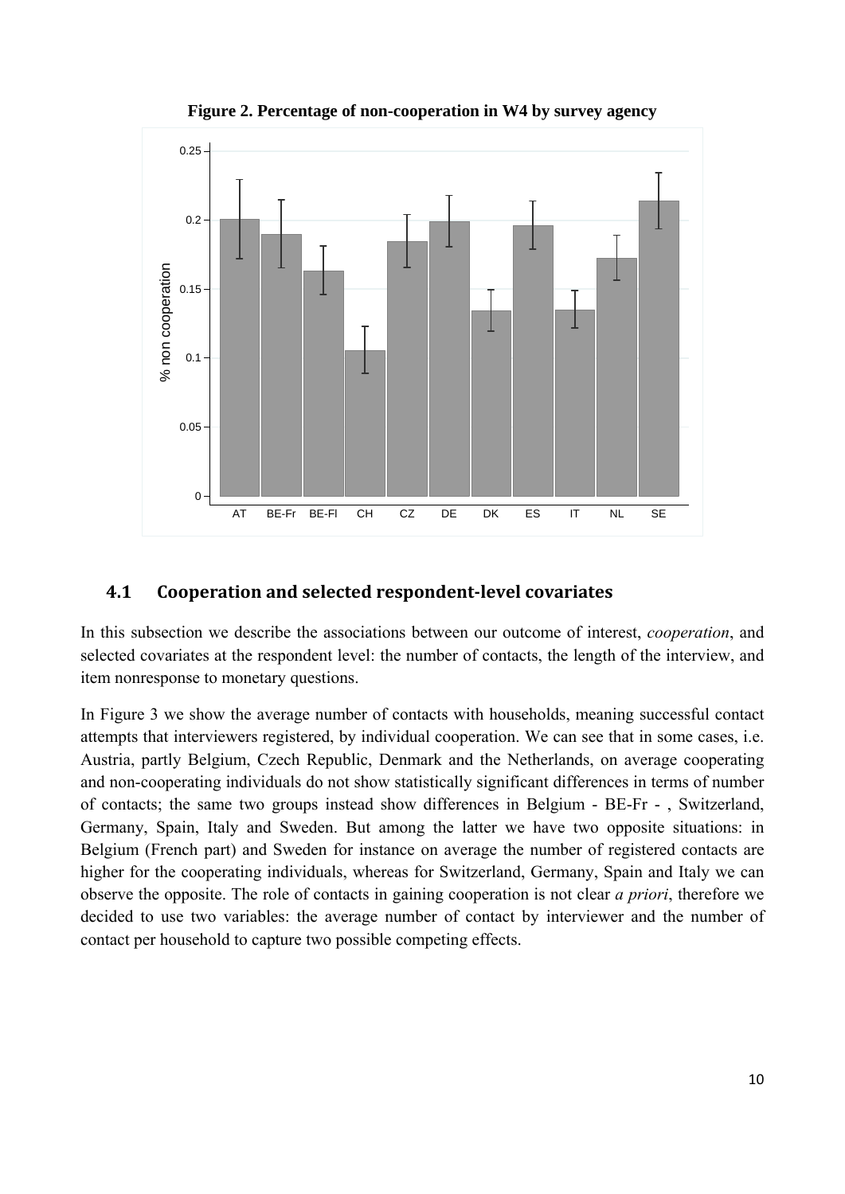

**Figure 2. Percentage of non-cooperation in W4 by survey agency** 

## **4.1 Cooperation and selected respondent‐level covariates**

In this subsection we describe the associations between our outcome of interest, *cooperation*, and selected covariates at the respondent level: the number of contacts, the length of the interview, and item nonresponse to monetary questions.

In Figure 3 we show the average number of contacts with households, meaning successful contact attempts that interviewers registered, by individual cooperation. We can see that in some cases, i.e. Austria, partly Belgium, Czech Republic, Denmark and the Netherlands, on average cooperating and non-cooperating individuals do not show statistically significant differences in terms of number of contacts; the same two groups instead show differences in Belgium - BE-Fr - , Switzerland, Germany, Spain, Italy and Sweden. But among the latter we have two opposite situations: in Belgium (French part) and Sweden for instance on average the number of registered contacts are higher for the cooperating individuals, whereas for Switzerland, Germany, Spain and Italy we can observe the opposite. The role of contacts in gaining cooperation is not clear *a priori*, therefore we decided to use two variables: the average number of contact by interviewer and the number of contact per household to capture two possible competing effects.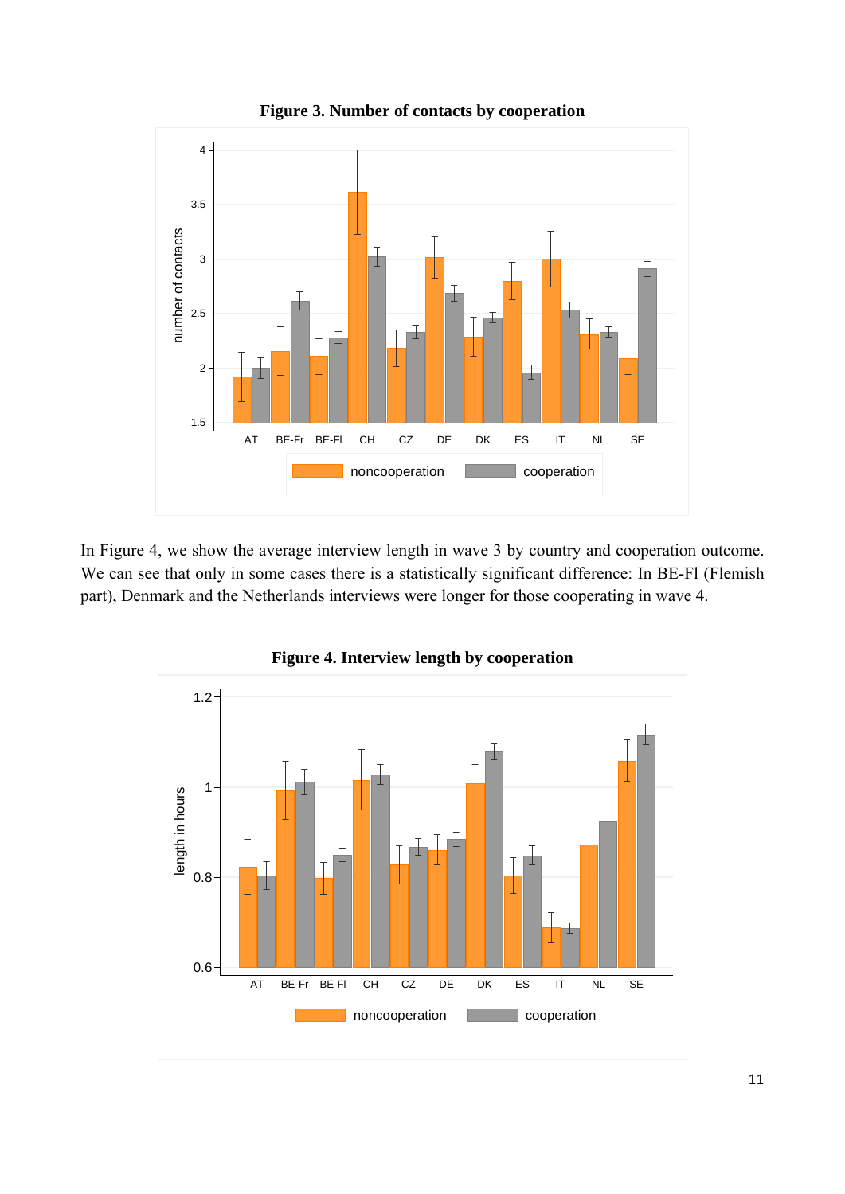

**Figure 3. Number of contacts by cooperation** 

In Figure 4, we show the average interview length in wave 3 by country and cooperation outcome. We can see that only in some cases there is a statistically significant difference: In BE-Fl (Flemish part), Denmark and the Netherlands interviews were longer for those cooperating in wave 4.



**Figure 4. Interview length by cooperation**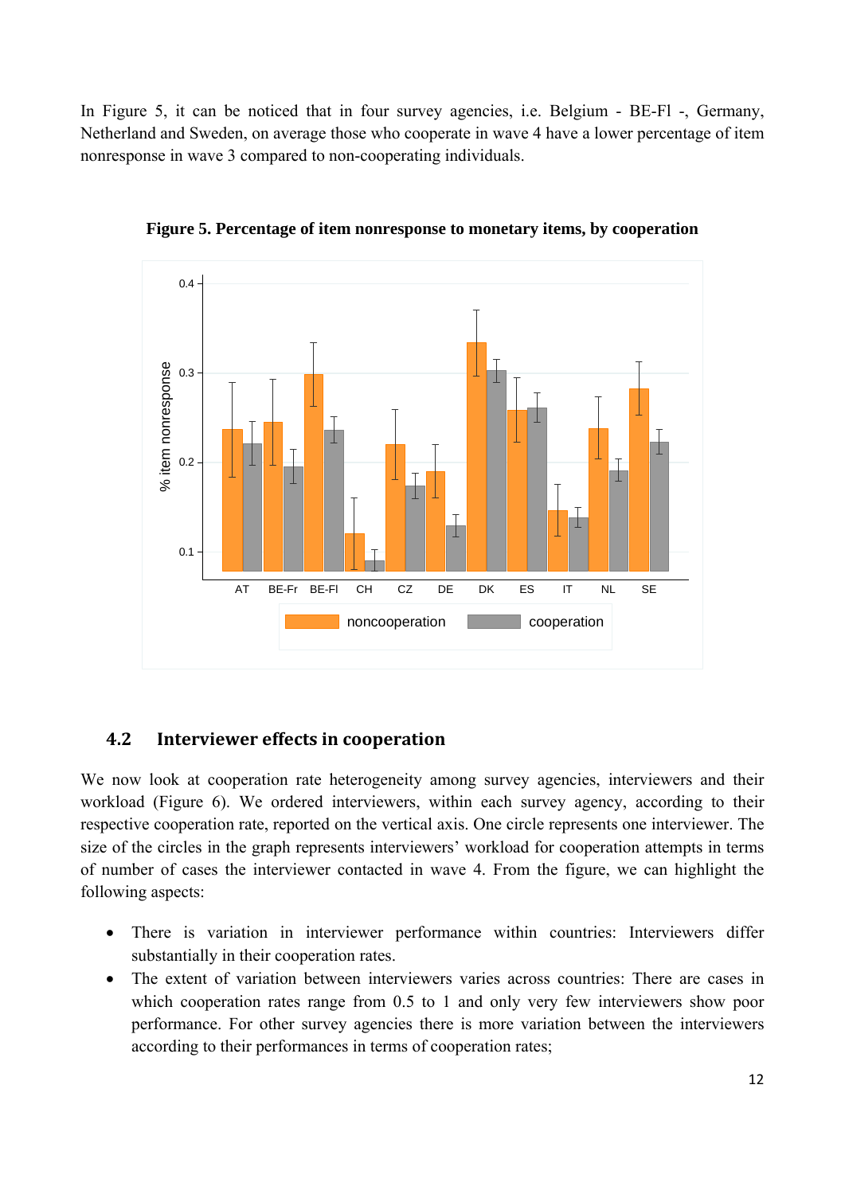In Figure 5, it can be noticed that in four survey agencies, i.e. Belgium - BE-Fl -, Germany, Netherland and Sweden, on average those who cooperate in wave 4 have a lower percentage of item nonresponse in wave 3 compared to non-cooperating individuals.



**Figure 5. Percentage of item nonresponse to monetary items, by cooperation** 

# **4.2 Interviewer effects in cooperation**

We now look at cooperation rate heterogeneity among survey agencies, interviewers and their workload (Figure 6). We ordered interviewers, within each survey agency, according to their respective cooperation rate, reported on the vertical axis. One circle represents one interviewer. The size of the circles in the graph represents interviewers' workload for cooperation attempts in terms of number of cases the interviewer contacted in wave 4. From the figure, we can highlight the following aspects:

- There is variation in interviewer performance within countries: Interviewers differ substantially in their cooperation rates.
- The extent of variation between interviewers varies across countries: There are cases in which cooperation rates range from 0.5 to 1 and only very few interviewers show poor performance. For other survey agencies there is more variation between the interviewers according to their performances in terms of cooperation rates;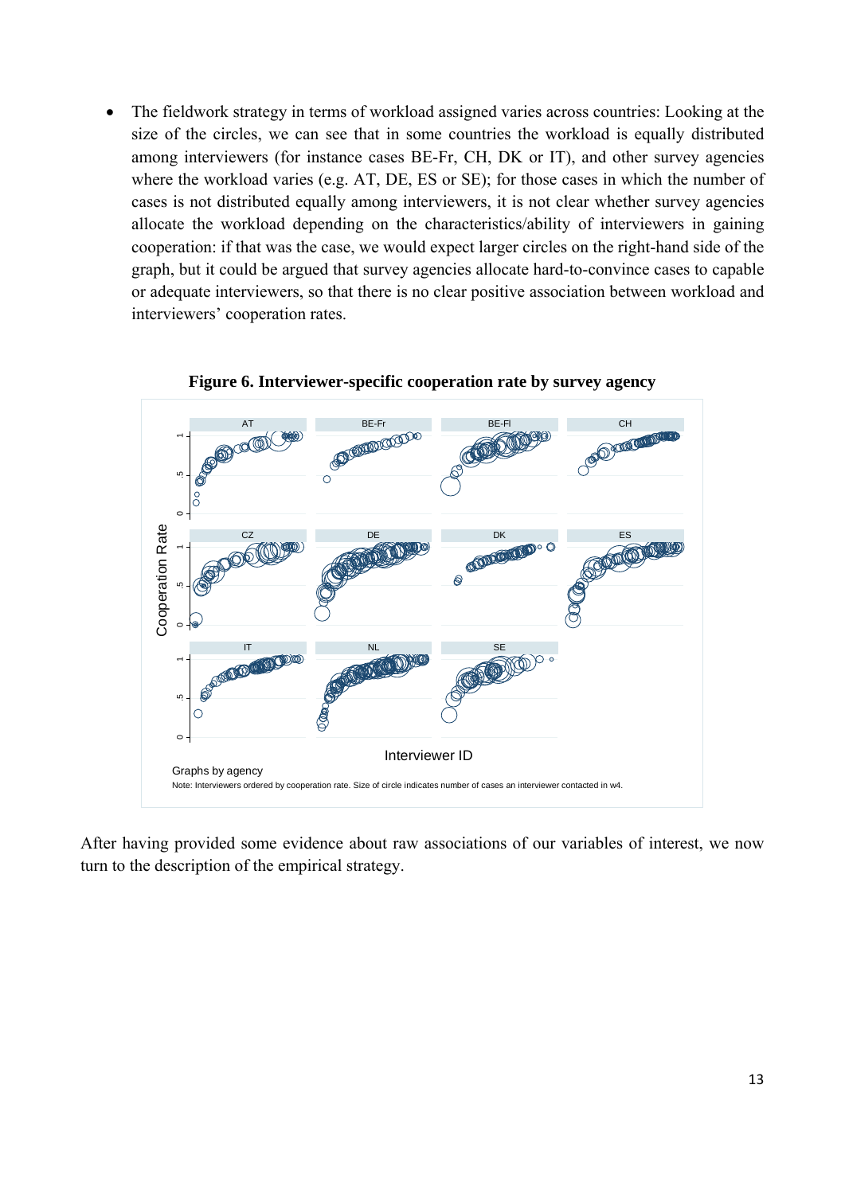The fieldwork strategy in terms of workload assigned varies across countries: Looking at the size of the circles, we can see that in some countries the workload is equally distributed among interviewers (for instance cases BE-Fr, CH, DK or IT), and other survey agencies where the workload varies (e.g. AT, DE, ES or SE); for those cases in which the number of cases is not distributed equally among interviewers, it is not clear whether survey agencies allocate the workload depending on the characteristics/ability of interviewers in gaining cooperation: if that was the case, we would expect larger circles on the right-hand side of the graph, but it could be argued that survey agencies allocate hard-to-convince cases to capable or adequate interviewers, so that there is no clear positive association between workload and interviewers' cooperation rates.



#### **Figure 6. Interviewer-specific cooperation rate by survey agency**

After having provided some evidence about raw associations of our variables of interest, we now turn to the description of the empirical strategy.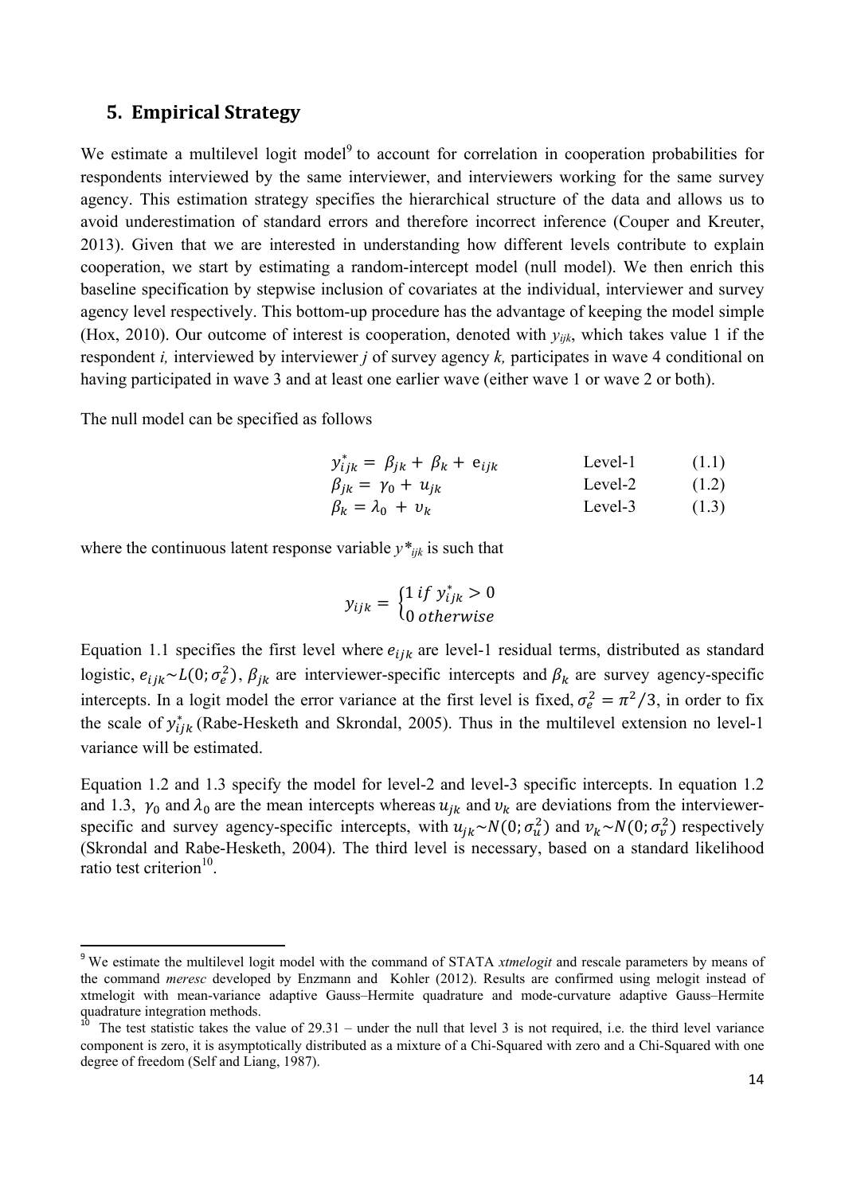### **5. Empirical Strategy**

We estimate a multilevel logit model<sup>9</sup> to account for correlation in cooperation probabilities for respondents interviewed by the same interviewer, and interviewers working for the same survey agency. This estimation strategy specifies the hierarchical structure of the data and allows us to avoid underestimation of standard errors and therefore incorrect inference (Couper and Kreuter, 2013). Given that we are interested in understanding how different levels contribute to explain cooperation, we start by estimating a random-intercept model (null model). We then enrich this baseline specification by stepwise inclusion of covariates at the individual, interviewer and survey agency level respectively. This bottom-up procedure has the advantage of keeping the model simple (Hox, 2010). Our outcome of interest is cooperation, denoted with *yijk*, which takes value 1 if the respondent *i*, interviewed by interviewer *j* of survey agency *k*, participates in wave 4 conditional on having participated in wave 3 and at least one earlier wave (either wave 1 or wave 2 or both).

The null model can be specified as follows

$$
y_{ijk}^{*} = \beta_{jk} + \beta_k + e_{ijk}
$$
  
 
$$
\beta_{jk} = \gamma_0 + u_{jk}
$$
  
 Level-2 (1.1)  
 Level-2 (1.2)

$$
\beta_k = \lambda_0 + v_k \qquad \qquad \text{Level-3} \tag{1.3}
$$

where the continuous latent response variable  $y^*_{ijk}$  is such that

$$
y_{ijk} = \begin{cases} 1 \text{ if } y_{ijk}^* > 0\\ 0 \text{ otherwise} \end{cases}
$$

Equation 1.1 specifies the first level where  $e_{ijk}$  are level-1 residual terms, distributed as standard logistic,  $e_{ijk} \sim L(0; \sigma_e^2)$ ,  $\beta_{jk}$  are interviewer-specific intercepts and  $\beta_k$  are survey agency-specific intercepts. In a logit model the error variance at the first level is fixed,  $\sigma_e^2 = \pi^2/3$ , in order to fix the scale of  $y_{ijk}^*$  (Rabe-Hesketh and Skrondal, 2005). Thus in the multilevel extension no level-1 variance will be estimated.

Equation 1.2 and 1.3 specify the model for level-2 and level-3 specific intercepts. In equation 1.2 and 1.3,  $\gamma_0$  and  $\lambda_0$  are the mean intercepts whereas  $u_{jk}$  and  $v_k$  are deviations from the interviewerspecific and survey agency-specific intercepts, with  $u_{jk} \sim N(0; \sigma_u^2)$  and  $v_k \sim N(0; \sigma_v^2)$  respectively (Skrondal and Rabe-Hesketh, 2004). The third level is necessary, based on a standard likelihood ratio test criterion<sup>10</sup>.

<sup>&</sup>lt;sup>9</sup> We estimate the multilevel logit model with the command of STATA *xtmelogit* and rescale parameters by means of the command *meresc* developed by Enzmann and Kohler (2012). Results are confirmed using melogit instead of xtmelogit with mean-variance adaptive Gauss–Hermite quadrature and mode-curvature adaptive Gauss–Hermite quadrature integration methods.

<sup>&</sup>lt;sup>10</sup> The test statistic takes the value of 29.31 – under the null that level 3 is not required, i.e. the third level variance component is zero, it is asymptotically distributed as a mixture of a Chi-Squared with zero and a Chi-Squared with one degree of freedom (Self and Liang, 1987).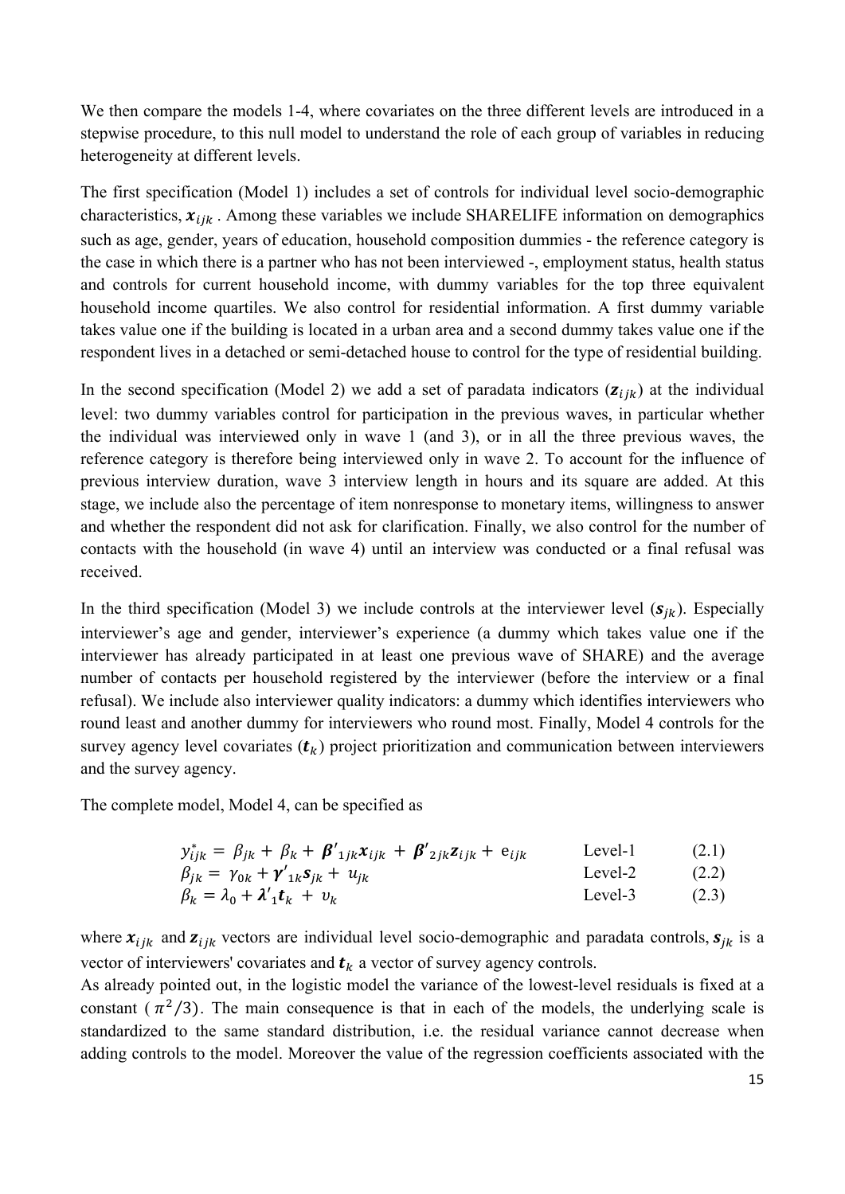We then compare the models 1-4, where covariates on the three different levels are introduced in a stepwise procedure, to this null model to understand the role of each group of variables in reducing heterogeneity at different levels.

The first specification (Model 1) includes a set of controls for individual level socio-demographic characteristics,  $x_{ijk}$ . Among these variables we include SHARELIFE information on demographics such as age, gender, years of education, household composition dummies - the reference category is the case in which there is a partner who has not been interviewed -, employment status, health status and controls for current household income, with dummy variables for the top three equivalent household income quartiles. We also control for residential information. A first dummy variable takes value one if the building is located in a urban area and a second dummy takes value one if the respondent lives in a detached or semi-detached house to control for the type of residential building.

In the second specification (Model 2) we add a set of paradata indicators  $(z_{ijk})$  at the individual level: two dummy variables control for participation in the previous waves, in particular whether the individual was interviewed only in wave 1 (and 3), or in all the three previous waves, the reference category is therefore being interviewed only in wave 2. To account for the influence of previous interview duration, wave 3 interview length in hours and its square are added. At this stage, we include also the percentage of item nonresponse to monetary items, willingness to answer and whether the respondent did not ask for clarification. Finally, we also control for the number of contacts with the household (in wave 4) until an interview was conducted or a final refusal was received.

In the third specification (Model 3) we include controls at the interviewer level  $(s_{ik})$ . Especially interviewer's age and gender, interviewer's experience (a dummy which takes value one if the interviewer has already participated in at least one previous wave of SHARE) and the average number of contacts per household registered by the interviewer (before the interview or a final refusal). We include also interviewer quality indicators: a dummy which identifies interviewers who round least and another dummy for interviewers who round most. Finally, Model 4 controls for the survey agency level covariates  $(t_k)$  project prioritization and communication between interviewers and the survey agency.

The complete model, Model 4, can be specified as

$$
y_{ijk}^* = \beta_{jk} + \beta_k + \beta'_{1jk} x_{ijk} + \beta'_{2jk} z_{ijk} + e_{ijk}
$$
 Level-1 (2.1)  
\n
$$
\beta_{ik} = \gamma_{0k} + \gamma'_{1k} s_{ik} + u_{ik}
$$
 Level-2 (2.2)

$$
\beta_k = \lambda_0 + \lambda_1' \mathbf{t}_k + v_k
$$
\n
$$
\text{Level-3} \tag{2.3}
$$

where  $x_{ijk}$  and  $z_{ijk}$  vectors are individual level socio-demographic and paradata controls,  $s_{ik}$  is a vector of interviewers' covariates and  $t_k$  a vector of survey agency controls.

As already pointed out, in the logistic model the variance of the lowest-level residuals is fixed at a constant ( $\pi^2/3$ ). The main consequence is that in each of the models, the underlying scale is standardized to the same standard distribution, i.e. the residual variance cannot decrease when adding controls to the model. Moreover the value of the regression coefficients associated with the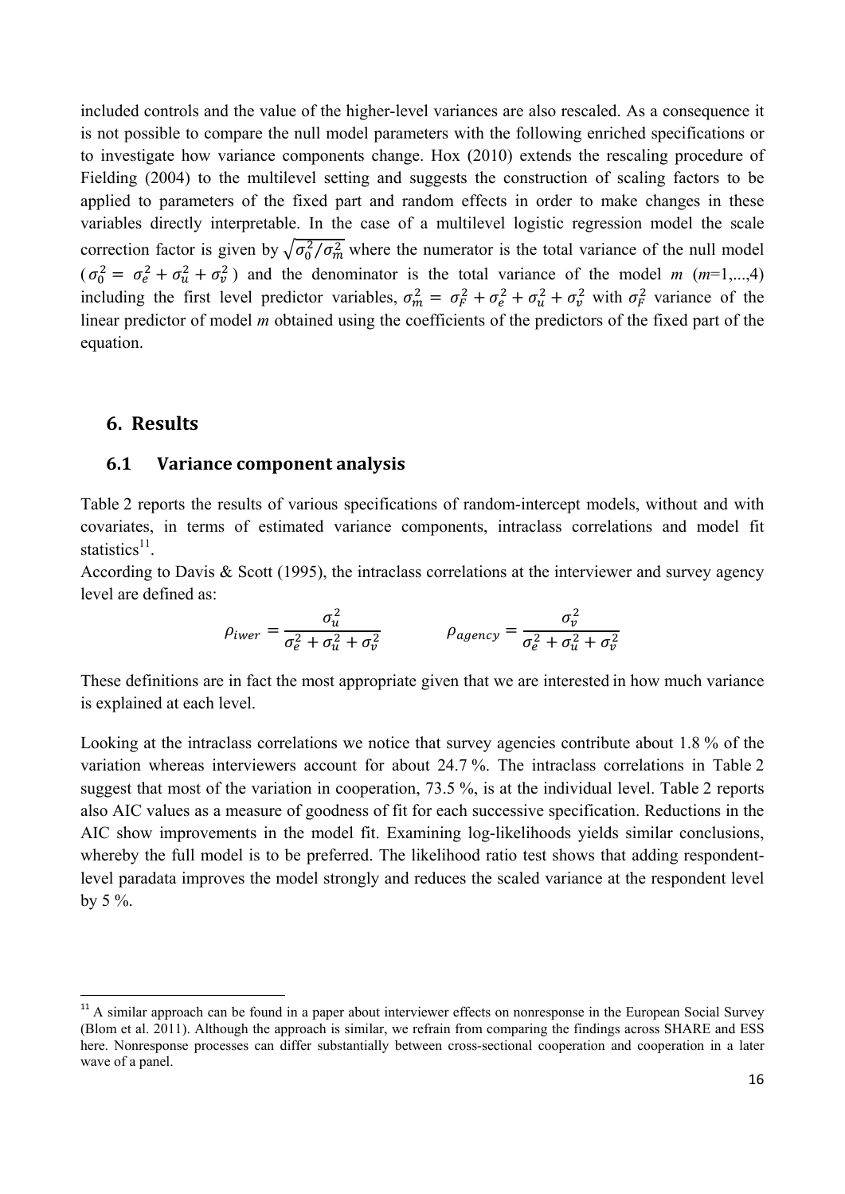included controls and the value of the higher-level variances are also rescaled. As a consequence it is not possible to compare the null model parameters with the following enriched specifications or to investigate how variance components change. Hox (2010) extends the rescaling procedure of Fielding (2004) to the multilevel setting and suggests the construction of scaling factors to be applied to parameters of the fixed part and random effects in order to make changes in these variables directly interpretable. In the case of a multilevel logistic regression model the scale correction factor is given by  $\sqrt{\sigma_0^2/\sigma_m^2}$  where the numerator is the total variance of the null model  $(\sigma_0^2 = \sigma_e^2 + \sigma_u^2 + \sigma_v^2)$  and the denominator is the total variance of the model *m* (*m*=1,...,4) including the first level predictor variables,  $\sigma_m^2 = \sigma_F^2 + \sigma_e^2 + \sigma_u^2 + \sigma_v^2$  with  $\sigma_F^2$  variance of the linear predictor of model *m* obtained using the coefficients of the predictors of the fixed part of the equation.

## **6. Results**

#### **6.1 Variance component analysis**

Table 2 reports the results of various specifications of random-intercept models, without and with covariates, in terms of estimated variance components, intraclass correlations and model fit statistics $^{11}$ .

According to Davis & Scott (1995), the intraclass correlations at the interviewer and survey agency level are defined as:

$$
\rho_{iwer} = \frac{\sigma_u^2}{\sigma_e^2 + \sigma_u^2 + \sigma_v^2} \qquad \qquad \rho_{agency} = \frac{\sigma_v^2}{\sigma_e^2 + \sigma_u^2 + \sigma_v^2}
$$

These definitions are in fact the most appropriate given that we are interested in how much variance is explained at each level.

Looking at the intraclass correlations we notice that survey agencies contribute about 1.8 % of the variation whereas interviewers account for about 24.7 %. The intraclass correlations in Table 2 suggest that most of the variation in cooperation, 73.5 %, is at the individual level. Table 2 reports also AIC values as a measure of goodness of fit for each successive specification. Reductions in the AIC show improvements in the model fit. Examining log-likelihoods yields similar conclusions, whereby the full model is to be preferred. The likelihood ratio test shows that adding respondentlevel paradata improves the model strongly and reduces the scaled variance at the respondent level by 5 %.

 $11$ <sup>11</sup> A similar approach can be found in a paper about interviewer effects on nonresponse in the European Social Survey (Blom et al. 2011). Although the approach is similar, we refrain from comparing the findings across SHARE and ESS here. Nonresponse processes can differ substantially between cross-sectional cooperation and cooperation in a later wave of a panel.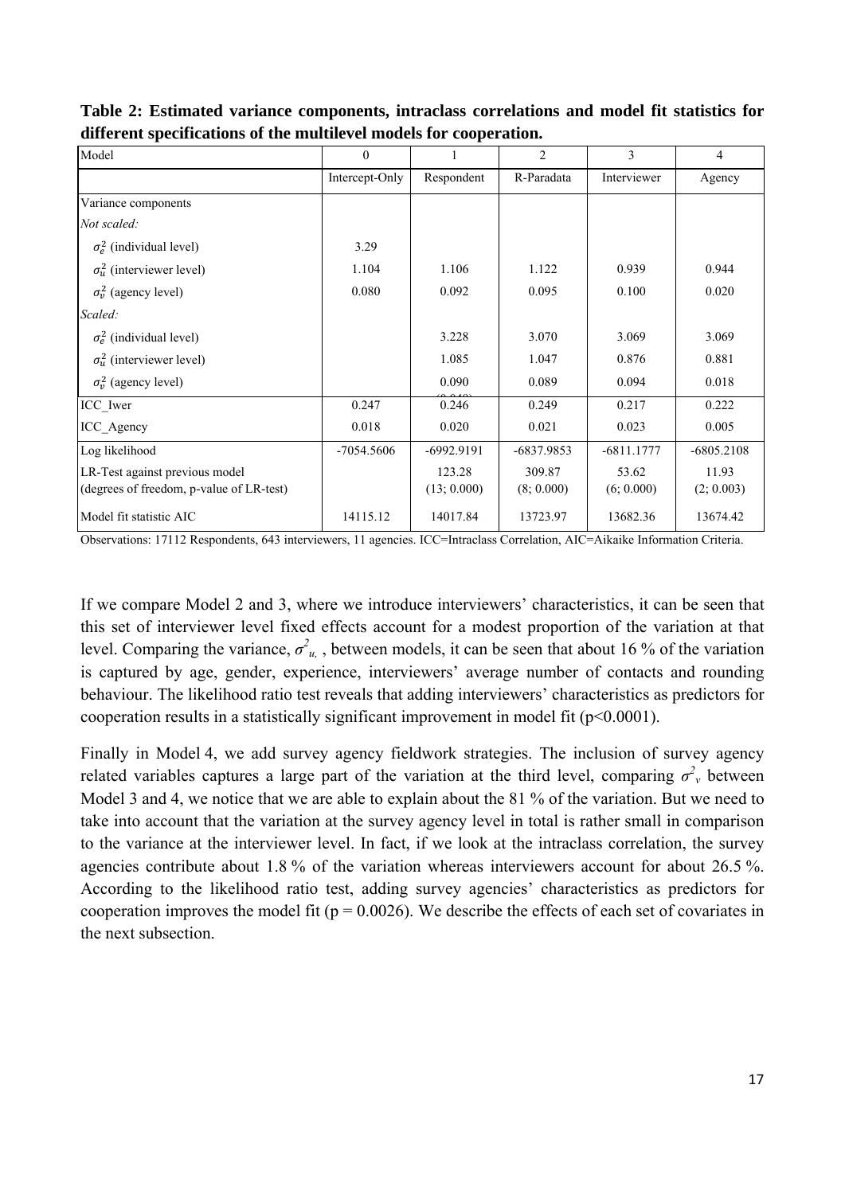| Model                                    | $\Omega$       |              | $\overline{2}$ | 3            | 4            |
|------------------------------------------|----------------|--------------|----------------|--------------|--------------|
|                                          | Intercept-Only | Respondent   | R-Paradata     | Interviewer  | Agency       |
| Variance components                      |                |              |                |              |              |
| Not scaled:                              |                |              |                |              |              |
| $\sigma_e^2$ (individual level)          | 3.29           |              |                |              |              |
| $\sigma_u^2$ (interviewer level)         | 1.104          | 1.106        | 1.122          | 0.939        | 0.944        |
| $\sigma_v^2$ (agency level)              | 0.080          | 0.092        | 0.095          | 0.100        | 0.020        |
| Scaled:                                  |                |              |                |              |              |
| $\sigma_e^2$ (individual level)          |                | 3.228        | 3.070          | 3.069        | 3.069        |
| $\sigma_u^2$ (interviewer level)         |                | 1.085        | 1.047          | 0.876        | 0.881        |
| $\sigma_v^2$ (agency level)              |                | 0.090        | 0.089          | 0.094        | 0.018        |
| ICC_Iwer                                 | 0.247          | 0.246        | 0.249          | 0.217        | 0.222        |
| ICC Agency                               | 0.018          | 0.020        | 0.021          | 0.023        | 0.005        |
| Log likelihood                           | $-7054.5606$   | $-6992.9191$ | -6837.9853     | $-6811.1777$ | $-6805.2108$ |
| LR-Test against previous model           |                | 123.28       | 309.87         | 53.62        | 11.93        |
| (degrees of freedom, p-value of LR-test) |                | (13; 0.000)  | (8; 0.000)     | (6; 0.000)   | (2; 0.003)   |
| Model fit statistic AIC                  | 14115.12       | 14017.84     | 13723.97       | 13682.36     | 13674.42     |

**Table 2: Estimated variance components, intraclass correlations and model fit statistics for different specifications of the multilevel models for cooperation.** 

Observations: 17112 Respondents, 643 interviewers, 11 agencies. ICC=Intraclass Correlation, AIC=Aikaike Information Criteria.

If we compare Model 2 and 3, where we introduce interviewers' characteristics, it can be seen that this set of interviewer level fixed effects account for a modest proportion of the variation at that level. Comparing the variance,  $\sigma^2_{u}$ , between models, it can be seen that about 16 % of the variation is captured by age, gender, experience, interviewers' average number of contacts and rounding behaviour. The likelihood ratio test reveals that adding interviewers' characteristics as predictors for cooperation results in a statistically significant improvement in model fit  $(p<0.0001)$ .

Finally in Model 4, we add survey agency fieldwork strategies. The inclusion of survey agency related variables captures a large part of the variation at the third level, comparing  $\sigma^2$  between Model 3 and 4, we notice that we are able to explain about the 81 % of the variation. But we need to take into account that the variation at the survey agency level in total is rather small in comparison to the variance at the interviewer level. In fact, if we look at the intraclass correlation, the survey agencies contribute about 1.8 % of the variation whereas interviewers account for about 26.5 %. According to the likelihood ratio test, adding survey agencies' characteristics as predictors for cooperation improves the model fit ( $p = 0.0026$ ). We describe the effects of each set of covariates in the next subsection.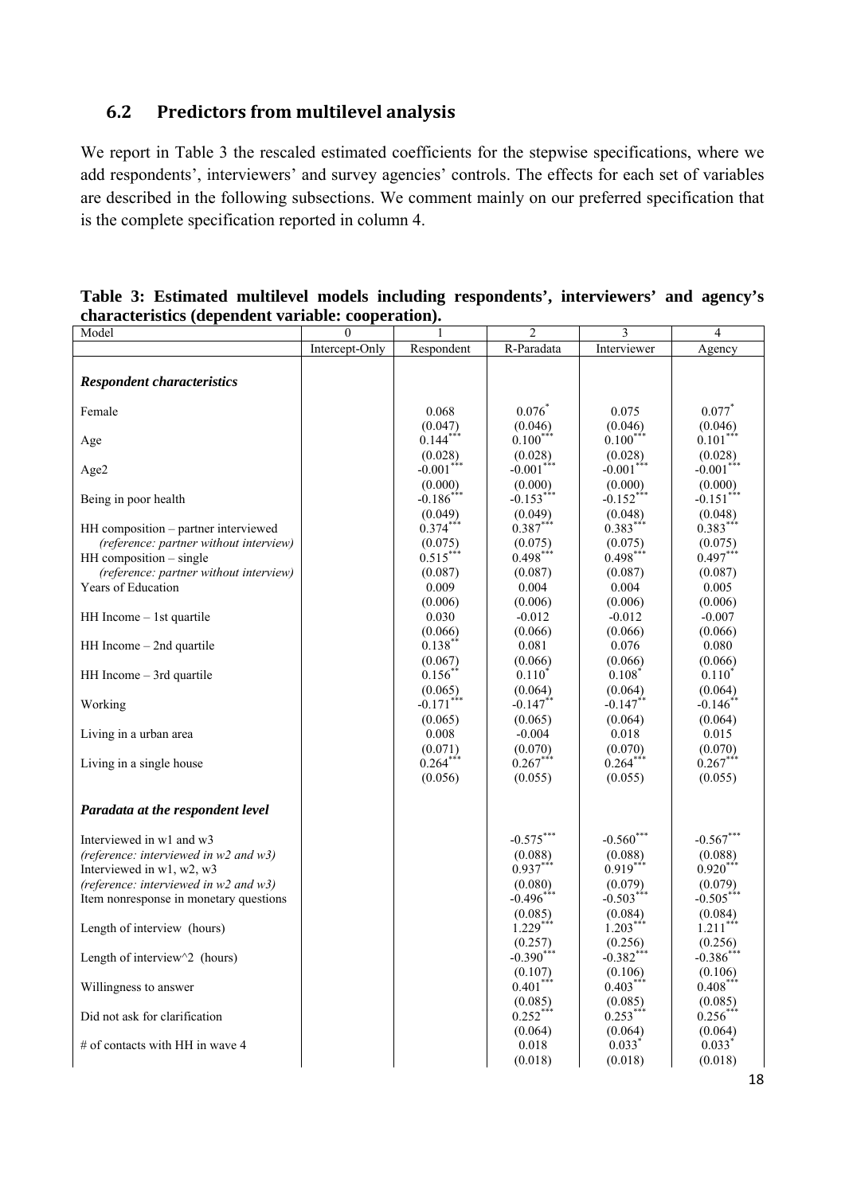# **6.2 Predictors from multilevel analysis**

We report in Table 3 the rescaled estimated coefficients for the stepwise specifications, where we add respondents', interviewers' and survey agencies' controls. The effects for each set of variables are described in the following subsections. We comment mainly on our preferred specification that is the complete specification reported in column 4.

| Model                                                                                                                                                                                    | $\boldsymbol{0}$ | 1                                                                  | $\overline{2}$                                                            | 3                                                                          | $\overline{4}$                                                             |
|------------------------------------------------------------------------------------------------------------------------------------------------------------------------------------------|------------------|--------------------------------------------------------------------|---------------------------------------------------------------------------|----------------------------------------------------------------------------|----------------------------------------------------------------------------|
|                                                                                                                                                                                          | Intercept-Only   | Respondent                                                         | R-Paradata                                                                | Interviewer                                                                | Agency                                                                     |
| <b>Respondent characteristics</b>                                                                                                                                                        |                  |                                                                    |                                                                           |                                                                            |                                                                            |
| Female                                                                                                                                                                                   |                  | 0.068<br>(0.047)                                                   | $0.076^{*}$<br>(0.046)                                                    | 0.075<br>(0.046)                                                           | 0.077<br>(0.046)                                                           |
| Age                                                                                                                                                                                      |                  | $0.144***$<br>(0.028)                                              | $0.100***$<br>(0.028)                                                     | $0.100***$<br>(0.028)                                                      | $0.101**$<br>(0.028)                                                       |
| Age2                                                                                                                                                                                     |                  | $-0.001$ **<br>(0.000)                                             | $-0.001***$<br>(0.000)                                                    | $-0.001$ **<br>(0.000)                                                     | $-0.001$ **<br>(0.000)                                                     |
| Being in poor health                                                                                                                                                                     |                  | $-0.186$ ***<br>(0.049)                                            | $-0.153$ ***<br>(0.049)                                                   | $-0.152$ ***<br>(0.048)                                                    | $-0.151***$<br>(0.048)                                                     |
| HH composition – partner interviewed<br>(reference: partner without interview)<br>$HH$ composition $-$ single<br>(reference: partner without interview)<br>Years of Education            |                  | $0.374***$<br>(0.075)<br>$0.515***$<br>(0.087)<br>0.009<br>(0.006) | $0.387***$<br>(0.075)<br>$0.498***$<br>(0.087)<br>0.004<br>(0.006)        | $0.383***$<br>(0.075)<br>$0.498$ ***<br>(0.087)<br>0.004<br>(0.006)        | $0.383***$<br>(0.075)<br>$0.497***$<br>(0.087)<br>0.005<br>(0.006)         |
| HH Income – 1st quartile                                                                                                                                                                 |                  | 0.030<br>(0.066)                                                   | $-0.012$<br>(0.066)                                                       | $-0.012$<br>(0.066)                                                        | $-0.007$<br>(0.066)                                                        |
| $HH$ Income $-$ 2nd quartile                                                                                                                                                             |                  | $0.138**$<br>(0.067)                                               | 0.081<br>(0.066)                                                          | 0.076<br>(0.066)                                                           | 0.080<br>(0.066)                                                           |
| HH Income – 3rd quartile                                                                                                                                                                 |                  | 0.156<br>(0.065)                                                   | $0.110^*$<br>(0.064)                                                      | $0.108^{\degree}$<br>(0.064)                                               | $0.110^*$<br>(0.064)                                                       |
| Working                                                                                                                                                                                  |                  | $-0.171$ ***<br>(0.065)                                            | $-0.147$ **<br>(0.065)                                                    | $-0.147$ **<br>(0.064)                                                     | $-0.146$ <sup>*</sup><br>(0.064)                                           |
| Living in a urban area                                                                                                                                                                   |                  | 0.008<br>(0.071)                                                   | $-0.004$<br>(0.070)                                                       | 0.018<br>(0.070)                                                           | 0.015<br>(0.070)                                                           |
| Living in a single house                                                                                                                                                                 |                  | $0.264***$<br>(0.056)                                              | $0.267***$<br>(0.055)                                                     | $0.264***$<br>(0.055)                                                      | $0.267***$<br>(0.055)                                                      |
| Paradata at the respondent level                                                                                                                                                         |                  |                                                                    |                                                                           |                                                                            |                                                                            |
| Interviewed in w1 and w3<br>(reference: interviewed in w2 and w3)<br>Interviewed in w1, w2, w3<br>(reference: interviewed in $w^2$ and $w^3$ )<br>Item nonresponse in monetary questions |                  |                                                                    | $-0.575***$<br>(0.088)<br>$0.937***$<br>(0.080)<br>$-0.496$ **<br>(0.085) | $-0.560$ ***<br>(0.088)<br>$0.919***$<br>(0.079)<br>$-0.503***$<br>(0.084) | $-0.567***$<br>(0.088)<br>$0.920$ **<br>(0.079)<br>$-0.505$ ***<br>(0.084) |
| Length of interview (hours)                                                                                                                                                              |                  |                                                                    | $1.229$ **<br>(0.257)                                                     | $1.203**$<br>(0.256)                                                       | $1.211$ **<br>(0.256)                                                      |
| Length of interview $\sqrt{2}$ (hours)                                                                                                                                                   |                  |                                                                    | $-0.390$ **<br>(0.107)                                                    | $-0.382$ *<br>(0.106)                                                      | $-0.386*$<br>(0.106)                                                       |
| Willingness to answer                                                                                                                                                                    |                  |                                                                    | $0.401***$<br>(0.085)                                                     | $0.403***$<br>(0.085)                                                      | $0.408***$<br>(0.085)                                                      |
| Did not ask for clarification                                                                                                                                                            |                  |                                                                    | $0.252$ **                                                                | $0.253**$                                                                  | 0.256                                                                      |
| # of contacts with HH in wave 4                                                                                                                                                          |                  |                                                                    | (0.064)<br>0.018<br>(0.018)                                               | (0.064)<br>$0.033$ <sup>*</sup><br>(0.018)                                 | (0.064)<br>$0.033$ <sup>*</sup><br>(0.018)                                 |

**Table 3: Estimated multilevel models including respondents', interviewers' and agency's characteristics (dependent variable: cooperation).**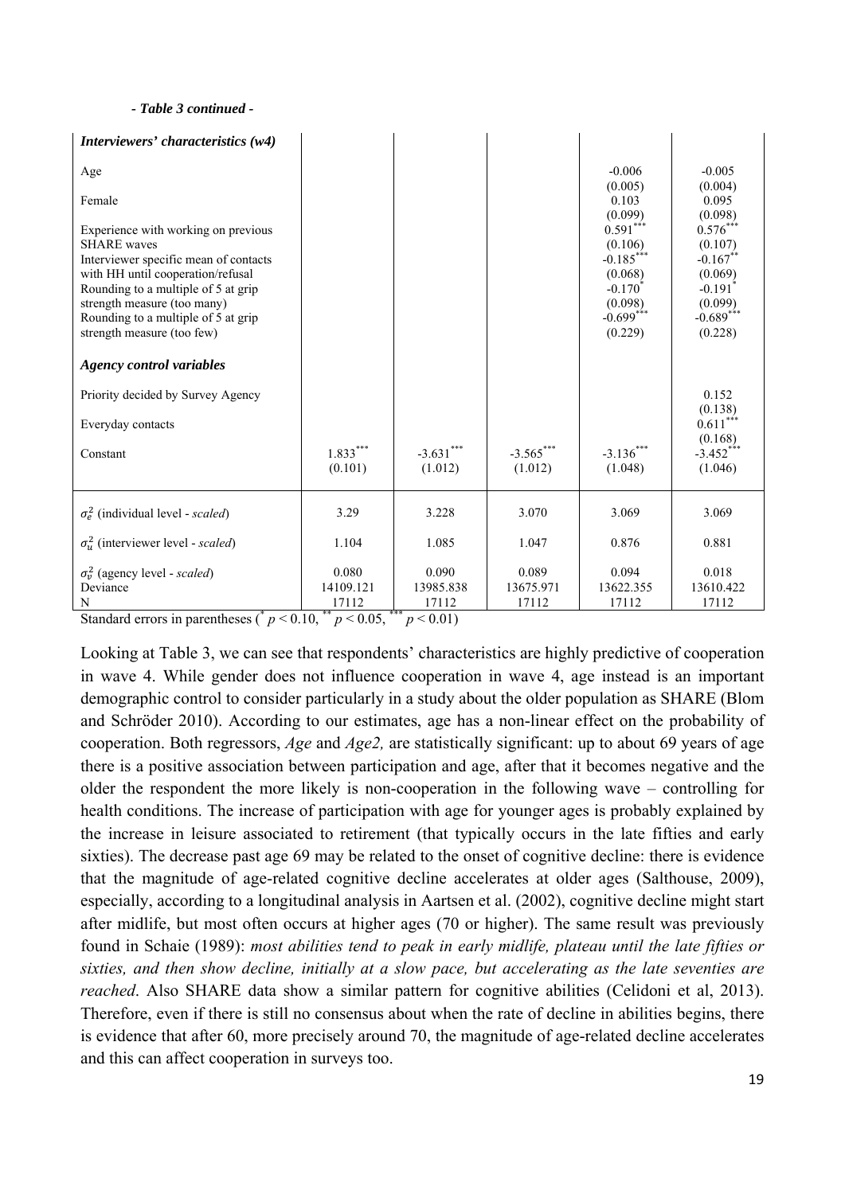#### *- Table 3 continued -*

| Interviewers' characteristics (w4)                                                                                                                                                                                                                                                 |                                          |                                            |                        |                                                                                                            |                                                                                                               |
|------------------------------------------------------------------------------------------------------------------------------------------------------------------------------------------------------------------------------------------------------------------------------------|------------------------------------------|--------------------------------------------|------------------------|------------------------------------------------------------------------------------------------------------|---------------------------------------------------------------------------------------------------------------|
| Age                                                                                                                                                                                                                                                                                |                                          |                                            |                        | $-0.006$<br>(0.005)                                                                                        | $-0.005$<br>(0.004)                                                                                           |
| Female                                                                                                                                                                                                                                                                             |                                          |                                            |                        | 0.103<br>(0.099)                                                                                           | 0.095<br>(0.098)                                                                                              |
| Experience with working on previous<br><b>SHARE</b> waves<br>Interviewer specific mean of contacts<br>with HH until cooperation/refusal<br>Rounding to a multiple of 5 at grip<br>strength measure (too many)<br>Rounding to a multiple of 5 at grip<br>strength measure (too few) |                                          |                                            |                        | $0.591***$<br>(0.106)<br>$-0.185***$<br>(0.068)<br>$-0.170^{\degree}$<br>(0.098)<br>$-0.699***$<br>(0.229) | $0.576***$<br>(0.107)<br>$-0.167$ **<br>(0.069)<br>$-0.191$ <sup>*</sup><br>(0.099)<br>$-0.689***$<br>(0.228) |
| <b>Agency control variables</b>                                                                                                                                                                                                                                                    |                                          |                                            |                        |                                                                                                            |                                                                                                               |
| Priority decided by Survey Agency                                                                                                                                                                                                                                                  |                                          |                                            |                        |                                                                                                            | 0.152<br>(0.138)                                                                                              |
| Everyday contacts                                                                                                                                                                                                                                                                  |                                          |                                            |                        |                                                                                                            | $0.611***$                                                                                                    |
| Constant                                                                                                                                                                                                                                                                           | $1.833***$<br>(0.101)                    | $-3.631***$<br>(1.012)                     | $-3.565***$<br>(1.012) | $-3.136***$<br>(1.048)                                                                                     | (0.168)<br>$-3.452$ ***<br>(1.046)                                                                            |
| $\sigma_e^2$ (individual level - scaled)                                                                                                                                                                                                                                           | 3.29                                     | 3.228                                      | 3.070                  | 3.069                                                                                                      | 3.069                                                                                                         |
| $\sigma_u^2$ (interviewer level - scaled)                                                                                                                                                                                                                                          | 1.104                                    | 1.085                                      | 1.047                  | 0.876                                                                                                      | 0.881                                                                                                         |
| $\sigma_v^2$ (agency level - scaled)                                                                                                                                                                                                                                               | 0.080                                    | 0.090                                      | 0.089                  | 0.094                                                                                                      | 0.018                                                                                                         |
| Deviance<br>N                                                                                                                                                                                                                                                                      | 14109.121<br>17112<br>**<br>0.07<br>0.10 | 13985.838<br>17112<br>***<br>$\sim$ $\sim$ | 13675.971<br>17112     | 13622.355<br>17112                                                                                         | 13610.422<br>17112                                                                                            |

Standard errors in parentheses ( $p < 0.10$ ,  $p < 0.05$ ,  $p < 0.01$ )

Looking at Table 3, we can see that respondents' characteristics are highly predictive of cooperation in wave 4. While gender does not influence cooperation in wave 4, age instead is an important demographic control to consider particularly in a study about the older population as SHARE (Blom and Schröder 2010). According to our estimates, age has a non-linear effect on the probability of cooperation. Both regressors, *Age* and *Age2,* are statistically significant: up to about 69 years of age there is a positive association between participation and age, after that it becomes negative and the older the respondent the more likely is non-cooperation in the following wave – controlling for health conditions. The increase of participation with age for younger ages is probably explained by the increase in leisure associated to retirement (that typically occurs in the late fifties and early sixties). The decrease past age 69 may be related to the onset of cognitive decline: there is evidence that the magnitude of age-related cognitive decline accelerates at older ages (Salthouse, 2009), especially, according to a longitudinal analysis in Aartsen et al. (2002), cognitive decline might start after midlife, but most often occurs at higher ages (70 or higher). The same result was previously found in Schaie (1989): *most abilities tend to peak in early midlife, plateau until the late fifties or sixties, and then show decline, initially at a slow pace, but accelerating as the late seventies are reached*. Also SHARE data show a similar pattern for cognitive abilities (Celidoni et al, 2013). Therefore, even if there is still no consensus about when the rate of decline in abilities begins, there is evidence that after 60, more precisely around 70, the magnitude of age-related decline accelerates and this can affect cooperation in surveys too.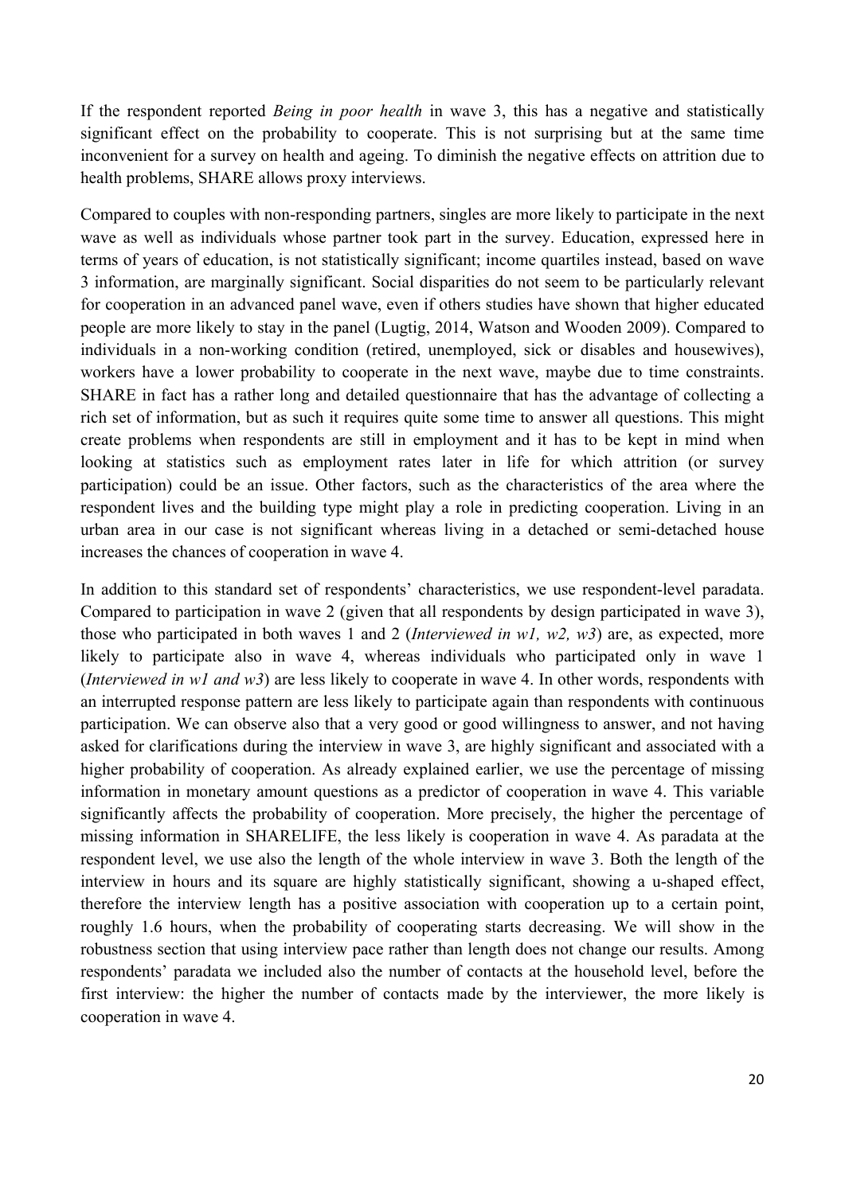If the respondent reported *Being in poor health* in wave 3, this has a negative and statistically significant effect on the probability to cooperate. This is not surprising but at the same time inconvenient for a survey on health and ageing. To diminish the negative effects on attrition due to health problems, SHARE allows proxy interviews.

Compared to couples with non-responding partners, singles are more likely to participate in the next wave as well as individuals whose partner took part in the survey. Education, expressed here in terms of years of education, is not statistically significant; income quartiles instead, based on wave 3 information, are marginally significant. Social disparities do not seem to be particularly relevant for cooperation in an advanced panel wave, even if others studies have shown that higher educated people are more likely to stay in the panel (Lugtig, 2014, Watson and Wooden 2009). Compared to individuals in a non-working condition (retired, unemployed, sick or disables and housewives), workers have a lower probability to cooperate in the next wave, maybe due to time constraints. SHARE in fact has a rather long and detailed questionnaire that has the advantage of collecting a rich set of information, but as such it requires quite some time to answer all questions. This might create problems when respondents are still in employment and it has to be kept in mind when looking at statistics such as employment rates later in life for which attrition (or survey participation) could be an issue. Other factors, such as the characteristics of the area where the respondent lives and the building type might play a role in predicting cooperation. Living in an urban area in our case is not significant whereas living in a detached or semi-detached house increases the chances of cooperation in wave 4.

In addition to this standard set of respondents' characteristics, we use respondent-level paradata. Compared to participation in wave 2 (given that all respondents by design participated in wave 3), those who participated in both waves 1 and 2 (*Interviewed in w1, w2, w3*) are, as expected, more likely to participate also in wave 4, whereas individuals who participated only in wave 1 (*Interviewed in w1 and w3*) are less likely to cooperate in wave 4. In other words, respondents with an interrupted response pattern are less likely to participate again than respondents with continuous participation. We can observe also that a very good or good willingness to answer, and not having asked for clarifications during the interview in wave 3, are highly significant and associated with a higher probability of cooperation. As already explained earlier, we use the percentage of missing information in monetary amount questions as a predictor of cooperation in wave 4. This variable significantly affects the probability of cooperation. More precisely, the higher the percentage of missing information in SHARELIFE, the less likely is cooperation in wave 4. As paradata at the respondent level, we use also the length of the whole interview in wave 3. Both the length of the interview in hours and its square are highly statistically significant, showing a u-shaped effect, therefore the interview length has a positive association with cooperation up to a certain point, roughly 1.6 hours, when the probability of cooperating starts decreasing. We will show in the robustness section that using interview pace rather than length does not change our results. Among respondents' paradata we included also the number of contacts at the household level, before the first interview: the higher the number of contacts made by the interviewer, the more likely is cooperation in wave 4.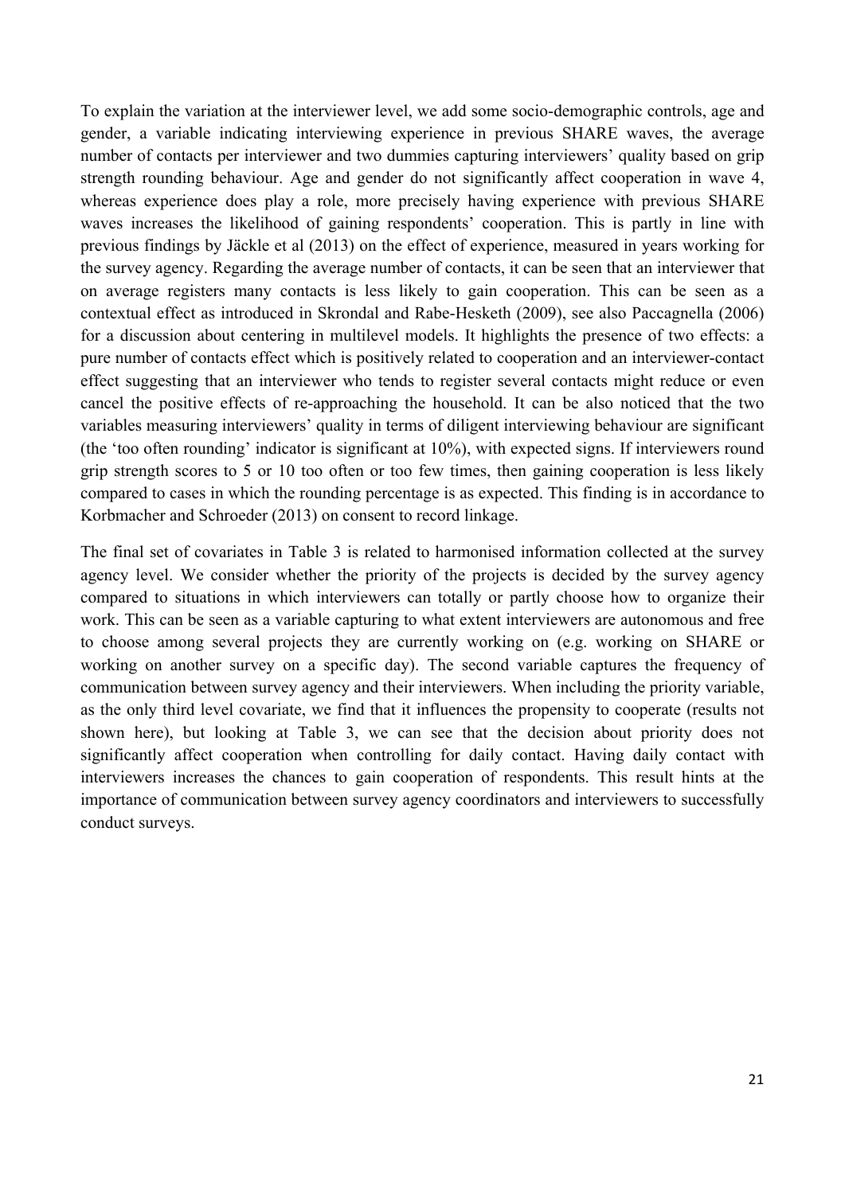To explain the variation at the interviewer level, we add some socio-demographic controls, age and gender, a variable indicating interviewing experience in previous SHARE waves, the average number of contacts per interviewer and two dummies capturing interviewers' quality based on grip strength rounding behaviour. Age and gender do not significantly affect cooperation in wave 4, whereas experience does play a role, more precisely having experience with previous SHARE waves increases the likelihood of gaining respondents' cooperation. This is partly in line with previous findings by Jäckle et al (2013) on the effect of experience, measured in years working for the survey agency. Regarding the average number of contacts, it can be seen that an interviewer that on average registers many contacts is less likely to gain cooperation. This can be seen as a contextual effect as introduced in Skrondal and Rabe-Hesketh (2009), see also Paccagnella (2006) for a discussion about centering in multilevel models. It highlights the presence of two effects: a pure number of contacts effect which is positively related to cooperation and an interviewer-contact effect suggesting that an interviewer who tends to register several contacts might reduce or even cancel the positive effects of re-approaching the household. It can be also noticed that the two variables measuring interviewers' quality in terms of diligent interviewing behaviour are significant (the 'too often rounding' indicator is significant at 10%), with expected signs. If interviewers round grip strength scores to 5 or 10 too often or too few times, then gaining cooperation is less likely compared to cases in which the rounding percentage is as expected. This finding is in accordance to Korbmacher and Schroeder (2013) on consent to record linkage.

The final set of covariates in Table 3 is related to harmonised information collected at the survey agency level. We consider whether the priority of the projects is decided by the survey agency compared to situations in which interviewers can totally or partly choose how to organize their work. This can be seen as a variable capturing to what extent interviewers are autonomous and free to choose among several projects they are currently working on (e.g. working on SHARE or working on another survey on a specific day). The second variable captures the frequency of communication between survey agency and their interviewers. When including the priority variable, as the only third level covariate, we find that it influences the propensity to cooperate (results not shown here), but looking at Table 3, we can see that the decision about priority does not significantly affect cooperation when controlling for daily contact. Having daily contact with interviewers increases the chances to gain cooperation of respondents. This result hints at the importance of communication between survey agency coordinators and interviewers to successfully conduct surveys.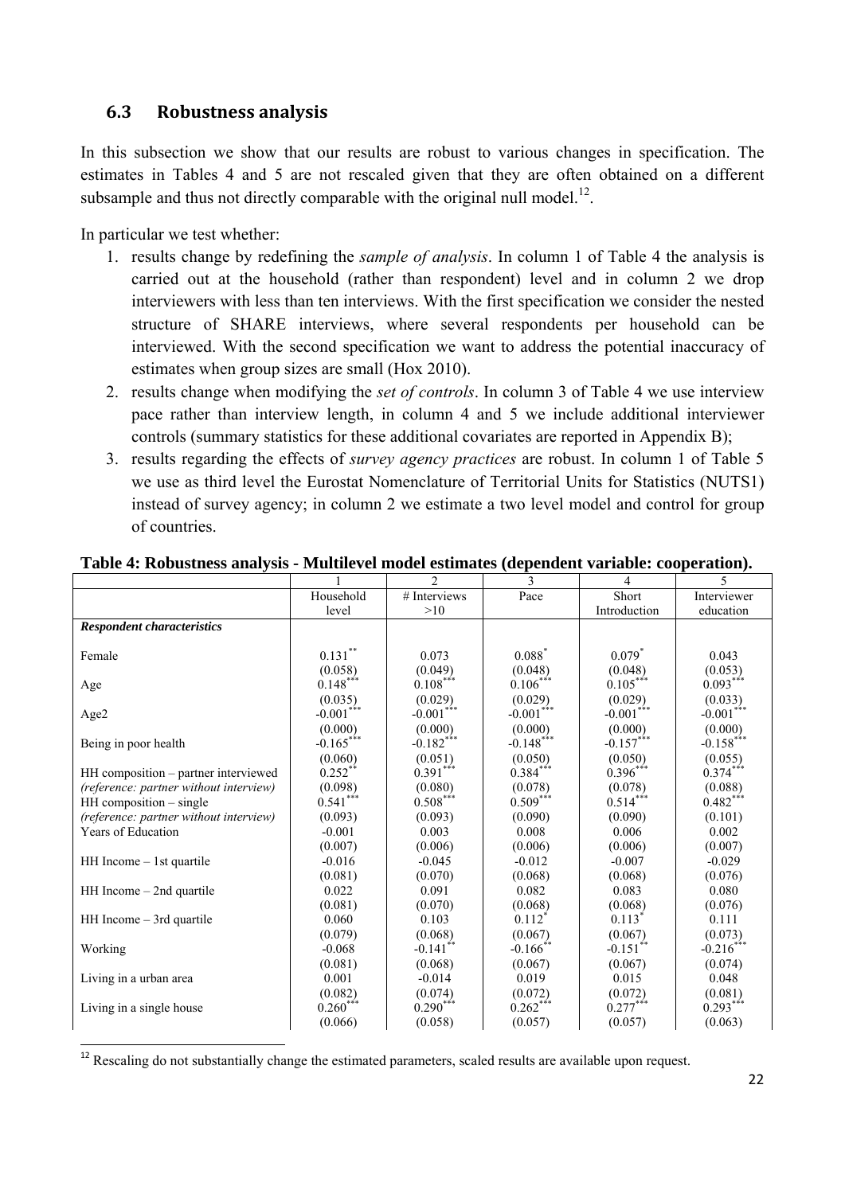# **6.3 Robustness analysis**

In this subsection we show that our results are robust to various changes in specification. The estimates in Tables 4 and 5 are not rescaled given that they are often obtained on a different subsample and thus not directly comparable with the original null model.<sup>12</sup>.

In particular we test whether:

- 1. results change by redefining the *sample of analysis*. In column 1 of Table 4 the analysis is carried out at the household (rather than respondent) level and in column 2 we drop interviewers with less than ten interviews. With the first specification we consider the nested structure of SHARE interviews, where several respondents per household can be interviewed. With the second specification we want to address the potential inaccuracy of estimates when group sizes are small (Hox 2010).
- 2. results change when modifying the *set of controls*. In column 3 of Table 4 we use interview pace rather than interview length, in column 4 and 5 we include additional interviewer controls (summary statistics for these additional covariates are reported in Appendix B);
- 3. results regarding the effects of *survey agency practices* are robust. In column 1 of Table 5 we use as third level the Eurostat Nomenclature of Territorial Units for Statistics (NUTS1) instead of survey agency; in column 2 we estimate a two level model and control for group of countries.

|                                        |                 | $\overline{2}$         | 3                      | 4                      | 5           |
|----------------------------------------|-----------------|------------------------|------------------------|------------------------|-------------|
|                                        | Household       | # Interviews           | Pace                   | Short                  | Interviewer |
|                                        | level           | >10                    |                        | Introduction           | education   |
| <b>Respondent characteristics</b>      |                 |                        |                        |                        |             |
|                                        |                 |                        |                        |                        |             |
| Female                                 | $0.131***$      | 0.073                  | $0.088*$               | $0.079*$               | 0.043       |
|                                        | (0.058)         | (0.049)                | (0.048)                | (0.048)                | (0.053)     |
| Age                                    | $0.148***$      | $0.108***$             | $0.106***$             | $0.105***$             | $0.093***$  |
|                                        | (0.035)         | (0.029)                | (0.029)                | (0.029)                | (0.033)     |
| Age2                                   | ***<br>$-0.001$ | $-0.001***$            | $-0.001***$            | $-0.001***$            | $-0.001***$ |
|                                        | (0.000)         | (0.000)                | (0.000)                | (0.000)                | (0.000)     |
| Being in poor health                   | $-0.165***$     | $-0.182***$            | $-0.148***$            | $-0.157***$            | $-0.158***$ |
|                                        | (0.060)         | (0.051)                | (0.050)                | (0.050)                | (0.055)     |
| HH composition – partner interviewed   | $0.252**$       | $0.391***$             | $0.384***$             | $0.396***$             | $0.374***$  |
| (reference: partner without interview) | (0.098)         | (0.080)                | (0.078)                | (0.078)                | (0.088)     |
| HH composition - single                | $0.541***$      | $0.508***$             | $0.509***$             | $0.514***$             | $0.482***$  |
| (reference: partner without interview) | (0.093)         | (0.093)                | (0.090)                | (0.090)                | (0.101)     |
| Years of Education                     | $-0.001$        | 0.003                  | 0.008                  | 0.006                  | 0.002       |
|                                        | (0.007)         | (0.006)                | (0.006)                | (0.006)                | (0.007)     |
| $HH$ Income $-$ 1st quartile           | $-0.016$        | $-0.045$               | $-0.012$               | $-0.007$               | $-0.029$    |
|                                        | (0.081)         | (0.070)                | (0.068)                | (0.068)                | (0.076)     |
| HH Income - 2nd quartile               | 0.022           | 0.091                  | 0.082                  | 0.083                  | 0.080       |
|                                        | (0.081)         | (0.070)                | (0.068)                | (0.068)                | (0.076)     |
| HH Income - 3rd quartile               | 0.060           | 0.103                  | $0.112*$               | $0.113*$               | 0.111       |
|                                        | (0.079)         | (0.068)                | (0.067)                | (0.067)                | (0.073)     |
| Working                                | $-0.068$        | $-0.141$ <sup>**</sup> | $-0.166$ <sup>**</sup> | $-0.151$ <sup>**</sup> | $-0.216***$ |
|                                        | (0.081)         | (0.068)                | (0.067)                | (0.067)                | (0.074)     |
| Living in a urban area                 | 0.001           | $-0.014$               | 0.019                  | 0.015                  | 0.048       |
|                                        | (0.082)         | (0.074)                | (0.072)                | (0.072)                | (0.081)     |
| Living in a single house               | $0.260***$      | $0.290***$             | $0.262***$             | $0.277***$             | $0.293***$  |
|                                        | (0.066)         | (0.058)                | (0.057)                | (0.057)                | (0.063)     |

### **Table 4: Robustness analysis - Multilevel model estimates (dependent variable: cooperation).**

 <sup>12</sup> Rescaling do not substantially change the estimated parameters, scaled results are available upon request.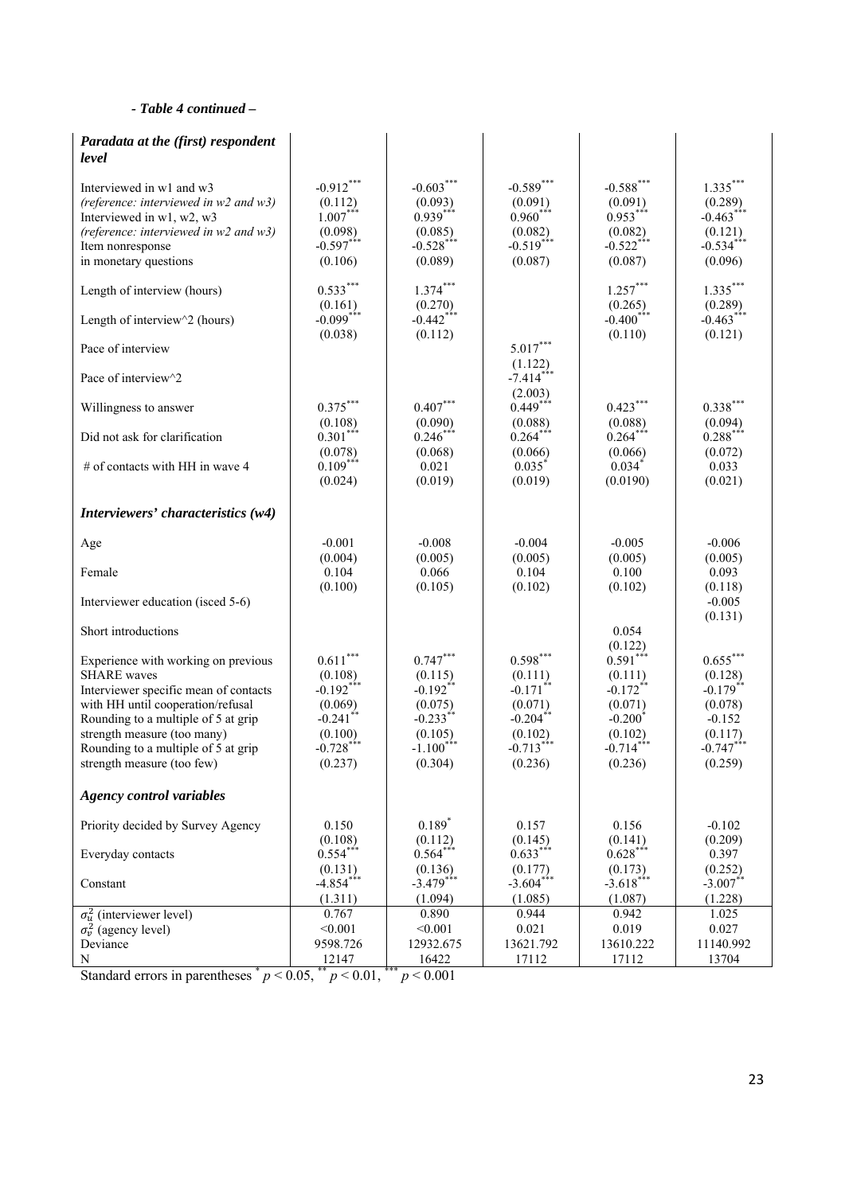#### *- Table 4 continued –*

| Paradata at the (first) respondent<br>level                                                                                                                                                                                                                                        |                                                                                                               |                                                                                                               |                                                                                                    |                                                                                                                          |                                                                                                  |
|------------------------------------------------------------------------------------------------------------------------------------------------------------------------------------------------------------------------------------------------------------------------------------|---------------------------------------------------------------------------------------------------------------|---------------------------------------------------------------------------------------------------------------|----------------------------------------------------------------------------------------------------|--------------------------------------------------------------------------------------------------------------------------|--------------------------------------------------------------------------------------------------|
| Interviewed in w1 and w3<br>(reference: interviewed in $w2$ and $w3$ )<br>Interviewed in w1, w2, w3<br>(reference: interviewed in $w2$ and $w3$ )<br>Item nonresponse<br>in monetary questions                                                                                     | $-0.912***$<br>(0.112)<br>$1.007$ ***<br>(0.098)<br>$-0.597***$<br>(0.106)                                    | $-0.603***$<br>(0.093)<br>$0.939***$<br>(0.085)<br>$-0.528***$<br>(0.089)                                     | $-0.589$ ***<br>$(0.091)$<br>$0.960***$<br>(0.082)<br>$-0.519***$<br>(0.087)                       | $-0.588$ ***<br>$(0.091)$<br>0.953***<br>(0.082)<br>$-0.522***$<br>(0.087)                                               | $1.335***$<br>(0.289)<br>$-0.463***$<br>(0.121)<br>$-0.534***$<br>(0.096)                        |
| Length of interview (hours)                                                                                                                                                                                                                                                        | $0.533***$<br>(0.161)                                                                                         | $1.374***$<br>(0.270)                                                                                         |                                                                                                    | $1.257***$<br>(0.265)                                                                                                    | $1.335***$<br>(0.289)                                                                            |
| Length of interview $\sqrt{2}$ (hours)                                                                                                                                                                                                                                             | $-0.099***$<br>(0.038)                                                                                        | $-0.442***$<br>(0.112)                                                                                        |                                                                                                    | $-0.400$ ***<br>(0.110)                                                                                                  | $-0.463***$<br>(0.121)                                                                           |
| Pace of interview                                                                                                                                                                                                                                                                  |                                                                                                               |                                                                                                               | $5.017***$<br>(1.122)                                                                              |                                                                                                                          |                                                                                                  |
| Pace of interview^2                                                                                                                                                                                                                                                                |                                                                                                               |                                                                                                               | $-7.414***$<br>(2.003)                                                                             |                                                                                                                          |                                                                                                  |
| Willingness to answer                                                                                                                                                                                                                                                              | $0.375***$<br>(0.108)                                                                                         | $0.407***$<br>(0.090)                                                                                         | $0.449***$<br>(0.088)                                                                              | $0.423***$<br>(0.088)                                                                                                    | $0.338***$<br>(0.094)                                                                            |
| Did not ask for clarification                                                                                                                                                                                                                                                      | $0.301***$<br>(0.078)                                                                                         | $0.246***$<br>(0.068)                                                                                         | $0.264***$<br>(0.066)                                                                              | $0.264***$<br>(0.066)                                                                                                    | $0.288***$<br>(0.072)                                                                            |
| # of contacts with HH in wave 4                                                                                                                                                                                                                                                    | $0.109***$<br>(0.024)                                                                                         | 0.021<br>(0.019)                                                                                              | $0.035$ <sup>*</sup><br>(0.019)                                                                    | $0.034$ <sup>*</sup><br>(0.0190)                                                                                         | 0.033<br>(0.021)                                                                                 |
| Interviewers' characteristics (w4)                                                                                                                                                                                                                                                 |                                                                                                               |                                                                                                               |                                                                                                    |                                                                                                                          |                                                                                                  |
| Age                                                                                                                                                                                                                                                                                | $-0.001$<br>(0.004)                                                                                           | $-0.008$<br>(0.005)                                                                                           | $-0.004$<br>(0.005)                                                                                | $-0.005$<br>(0.005)                                                                                                      | $-0.006$<br>(0.005)                                                                              |
| Female                                                                                                                                                                                                                                                                             | 0.104                                                                                                         | 0.066                                                                                                         | 0.104                                                                                              | 0.100                                                                                                                    | 0.093                                                                                            |
| Interviewer education (isced 5-6)                                                                                                                                                                                                                                                  | (0.100)                                                                                                       | (0.105)                                                                                                       | (0.102)                                                                                            | (0.102)                                                                                                                  | (0.118)<br>$-0.005$                                                                              |
| Short introductions                                                                                                                                                                                                                                                                |                                                                                                               |                                                                                                               |                                                                                                    | 0.054                                                                                                                    | (0.131)                                                                                          |
| Experience with working on previous<br><b>SHARE</b> waves<br>Interviewer specific mean of contacts<br>with HH until cooperation/refusal<br>Rounding to a multiple of 5 at grip<br>strength measure (too many)<br>Rounding to a multiple of 5 at grip<br>strength measure (too few) | $0.611***$<br>(0.108)<br>$-0.192***$<br>(0.069)<br>$-0.241$ <sup>*</sup><br>(0.100)<br>$-0.728***$<br>(0.237) | $0.747***$<br>(0.115)<br>$-0.192$ **<br>(0.075)<br>$-0.233$ <sup>*</sup><br>(0.105)<br>$-1.100***$<br>(0.304) | $0.598***$<br>(0.111)<br>$-0.171$ **<br>(0.071)<br>$-0.204$ *<br>(0.102)<br>$-0.713***$<br>(0.236) | (0.122)<br>$0.591***$<br>(0.111)<br>$-0.172$ **<br>(0.071)<br>$-0.200$ <sup>*</sup><br>(0.102)<br>$-0.714***$<br>(0.236) | $0.655***$<br>(0.128)<br>$-0.179$ **<br>(0.078)<br>$-0.152$<br>(0.117)<br>$-0.747***$<br>(0.259) |
| <b>Agency control variables</b>                                                                                                                                                                                                                                                    |                                                                                                               |                                                                                                               |                                                                                                    |                                                                                                                          |                                                                                                  |
| Priority decided by Survey Agency                                                                                                                                                                                                                                                  | 0.150                                                                                                         | $0.189*$                                                                                                      | 0.157                                                                                              | 0.156                                                                                                                    | $-0.102$<br>(0.209)                                                                              |
| Everyday contacts                                                                                                                                                                                                                                                                  | (0.108)<br>$0.554***$                                                                                         | (0.112)<br>$0.564***$                                                                                         | (0.145)<br>$0.633***$                                                                              | (0.141)<br>$0.628***$                                                                                                    | 0.397                                                                                            |
| Constant                                                                                                                                                                                                                                                                           | (0.131)<br>$-4.854***$<br>(1.311)                                                                             | (0.136)<br>$-3.479***$<br>(1.094)                                                                             | (0.177)<br>$-3.604***$<br>(1.085)                                                                  | (0.173)<br>$-3.618***$<br>(1.087)                                                                                        | (0.252)<br>$-3.007$ *<br>(1.228)                                                                 |
| $\sigma_u^2$ (interviewer level)                                                                                                                                                                                                                                                   | 0.767                                                                                                         | 0.890                                                                                                         | 0.944                                                                                              | 0.942                                                                                                                    | 1.025                                                                                            |
| $\sigma_v^2$ (agency level)                                                                                                                                                                                                                                                        | < 0.001                                                                                                       | < 0.001                                                                                                       | 0.021                                                                                              | 0.019                                                                                                                    | 0.027                                                                                            |
| Deviance                                                                                                                                                                                                                                                                           | 9598.726                                                                                                      | 12932.675                                                                                                     | 13621.792                                                                                          | 13610.222                                                                                                                | 11140.992                                                                                        |
| N                                                                                                                                                                                                                                                                                  | 12147                                                                                                         | 16422                                                                                                         | 17112                                                                                              | 17112                                                                                                                    | 13704                                                                                            |

Standard errors in parentheses  $p < 0.05$ ,  $p < 0.01$ ,  $p < 0.01$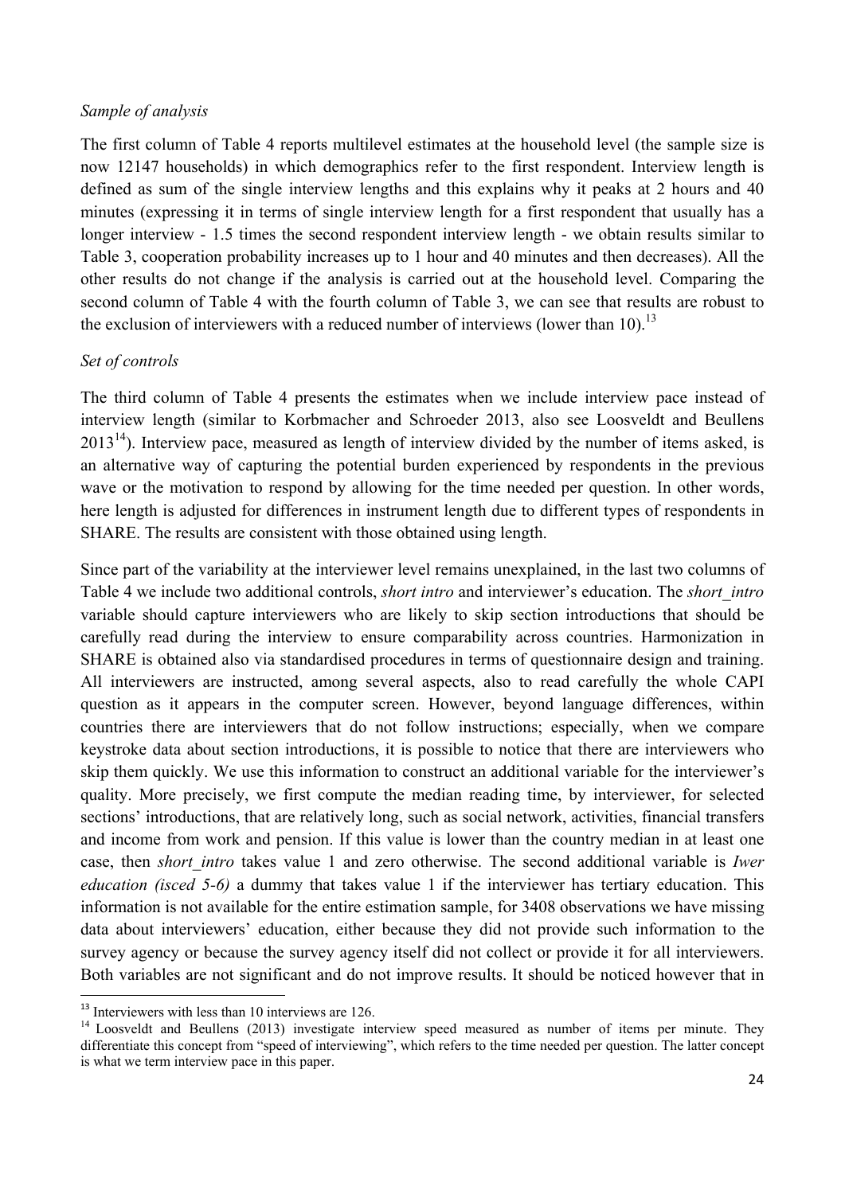#### *Sample of analysis*

The first column of Table 4 reports multilevel estimates at the household level (the sample size is now 12147 households) in which demographics refer to the first respondent. Interview length is defined as sum of the single interview lengths and this explains why it peaks at 2 hours and 40 minutes (expressing it in terms of single interview length for a first respondent that usually has a longer interview - 1.5 times the second respondent interview length - we obtain results similar to Table 3, cooperation probability increases up to 1 hour and 40 minutes and then decreases). All the other results do not change if the analysis is carried out at the household level. Comparing the second column of Table 4 with the fourth column of Table 3, we can see that results are robust to the exclusion of interviewers with a reduced number of interviews (lower than 10).<sup>13</sup>

### *Set of controls*

The third column of Table 4 presents the estimates when we include interview pace instead of interview length (similar to Korbmacher and Schroeder 2013, also see Loosveldt and Beullens  $2013<sup>14</sup>$ ). Interview pace, measured as length of interview divided by the number of items asked, is an alternative way of capturing the potential burden experienced by respondents in the previous wave or the motivation to respond by allowing for the time needed per question. In other words, here length is adjusted for differences in instrument length due to different types of respondents in SHARE. The results are consistent with those obtained using length.

Since part of the variability at the interviewer level remains unexplained, in the last two columns of Table 4 we include two additional controls, *short intro* and interviewer's education. The *short\_intro* variable should capture interviewers who are likely to skip section introductions that should be carefully read during the interview to ensure comparability across countries. Harmonization in SHARE is obtained also via standardised procedures in terms of questionnaire design and training. All interviewers are instructed, among several aspects, also to read carefully the whole CAPI question as it appears in the computer screen. However, beyond language differences, within countries there are interviewers that do not follow instructions; especially, when we compare keystroke data about section introductions, it is possible to notice that there are interviewers who skip them quickly. We use this information to construct an additional variable for the interviewer's quality. More precisely, we first compute the median reading time, by interviewer, for selected sections' introductions, that are relatively long, such as social network, activities, financial transfers and income from work and pension. If this value is lower than the country median in at least one case, then *short\_intro* takes value 1 and zero otherwise. The second additional variable is *Iwer education (isced 5-6)* a dummy that takes value 1 if the interviewer has tertiary education. This information is not available for the entire estimation sample, for 3408 observations we have missing data about interviewers' education, either because they did not provide such information to the survey agency or because the survey agency itself did not collect or provide it for all interviewers. Both variables are not significant and do not improve results. It should be noticed however that in

 $13$  Interviewers with less than 10 interviews are 126.

<sup>&</sup>lt;sup>14</sup> Loosveldt and Beullens (2013) investigate interview speed measured as number of items per minute. They differentiate this concept from "speed of interviewing", which refers to the time needed per question. The latter concept is what we term interview pace in this paper.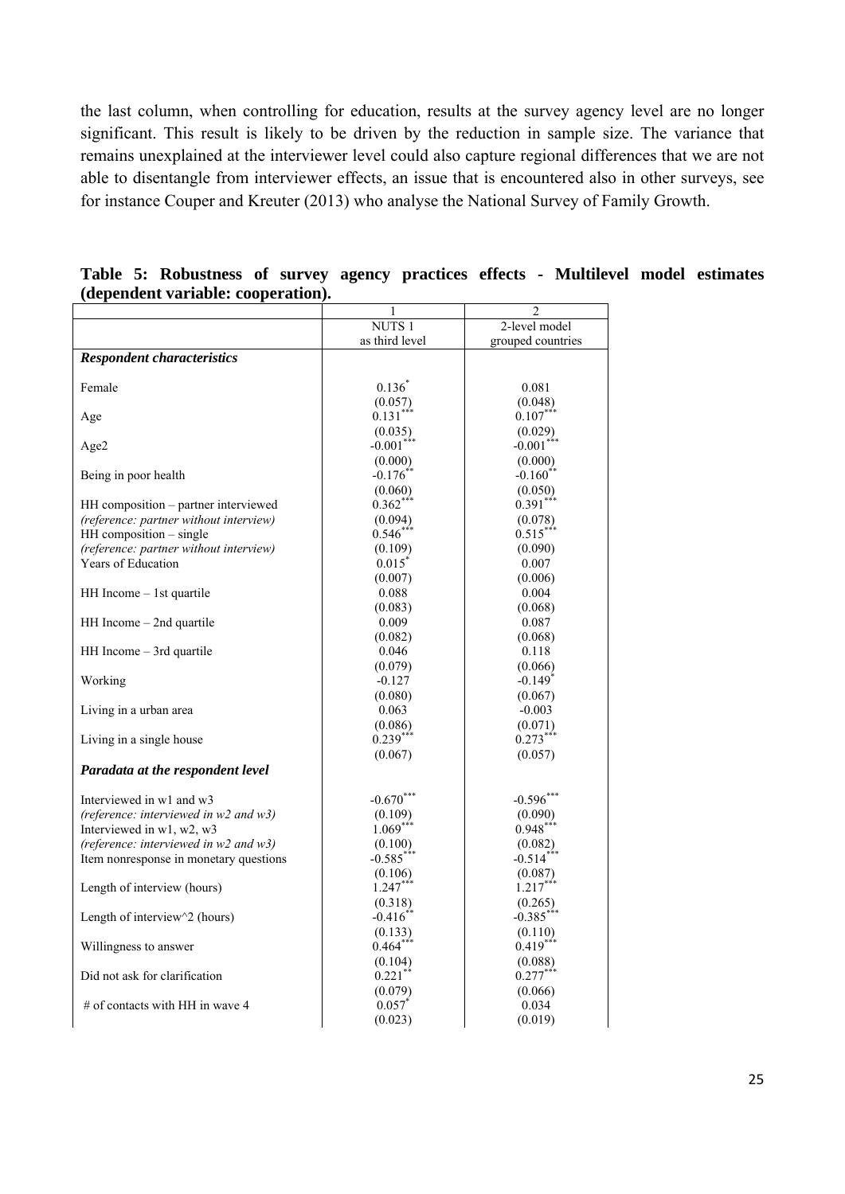the last column, when controlling for education, results at the survey agency level are no longer significant. This result is likely to be driven by the reduction in sample size. The variance that remains unexplained at the interviewer level could also capture regional differences that we are not able to disentangle from interviewer effects, an issue that is encountered also in other surveys, see for instance Couper and Kreuter (2013) who analyse the National Survey of Family Growth.

|                                              | 1                       | 2                     |
|----------------------------------------------|-------------------------|-----------------------|
|                                              | <b>NUTS1</b>            | 2-level model         |
|                                              | as third level          | grouped countries     |
| <b>Respondent characteristics</b>            |                         |                       |
|                                              |                         |                       |
| Female                                       | $0.136^{*}$             | 0.081                 |
|                                              | $(0.057)$<br>$0.131***$ | (0.048)               |
| Age                                          |                         | $0.107^{**}$          |
|                                              | (0.035)                 | (0.029)               |
| Age2                                         | $-0.001**$              | $-0.001***$           |
|                                              | (0.000)                 | (0.000)               |
| Being in poor health                         | $-0.176$ *              | $-0.160$ **           |
|                                              | (0.060)                 | (0.050)               |
| HH composition - partner interviewed         | $0.362**$               | $0.391***$            |
| (reference: partner without interview)       | (0.094)                 | (0.078)               |
| HH composition - single                      | $0.546$ **              | $0.515***$            |
| (reference: partner without interview)       | (0.109)                 | (0.090)               |
| Years of Education                           | $0.015^{\degree}$       | 0.007                 |
|                                              | (0.007)                 | (0.006)               |
| $HH$ Income $-$ 1st quartile                 | 0.088                   | 0.004                 |
|                                              | (0.083)                 | (0.068)               |
| $HH$ Income $-$ 2nd quartile                 | 0.009                   | 0.087                 |
|                                              | (0.082)                 | (0.068)               |
| $HH$ Income $-$ 3rd quartile                 | 0.046                   | 0.118                 |
|                                              | (0.079)                 | (0.066)               |
| Working                                      | $-0.127$                | $-0.149$ <sup>*</sup> |
|                                              | (0.080)                 | (0.067)               |
| Living in a urban area                       | 0.063                   | $-0.003$              |
|                                              | (0.086)                 | (0.071)               |
| Living in a single house                     | $0.239***$              | $0.273***$            |
|                                              | (0.067)                 | (0.057)               |
| Paradata at the respondent level             |                         |                       |
|                                              |                         |                       |
| Interviewed in w1 and w3                     | $-0.670***$             | $-0.596***$           |
| (reference: interviewed in $w^2$ and $w^3$ ) | (0.109)                 | (0.090)               |
| Interviewed in w1, w2, w3                    | $1.069***$              | $0.948***$            |
| (reference: interviewed in $w^2$ and $w^3$ ) | (0.100)                 | (0.082)               |
| Item nonresponse in monetary questions       | $-0.585$ <sup>*</sup>   | $-0.514$ <sup>*</sup> |
|                                              | (0.106)                 | (0.087)               |
| Length of interview (hours)                  | $1.247***$              | $1.217***$            |
|                                              | (0.318)                 | (0.265)               |
| Length of interview^2 (hours)                | $-0.416^*$              | $-0.385***$           |
|                                              | (0.133)                 | (0.110)               |
| Willingness to answer                        | $0.464***$              | $0.419***$            |
|                                              | (0.104)                 | (0.088)               |
| Did not ask for clarification                | 0.221                   | $0.277***$            |
|                                              | (0.079)                 | (0.066)               |
| # of contacts with HH in wave 4              | $0.057^{*}$             | 0.034                 |
|                                              | (0.023)                 | (0.019)               |

**Table 5: Robustness of survey agency practices effects - Multilevel model estimates (dependent variable: cooperation).**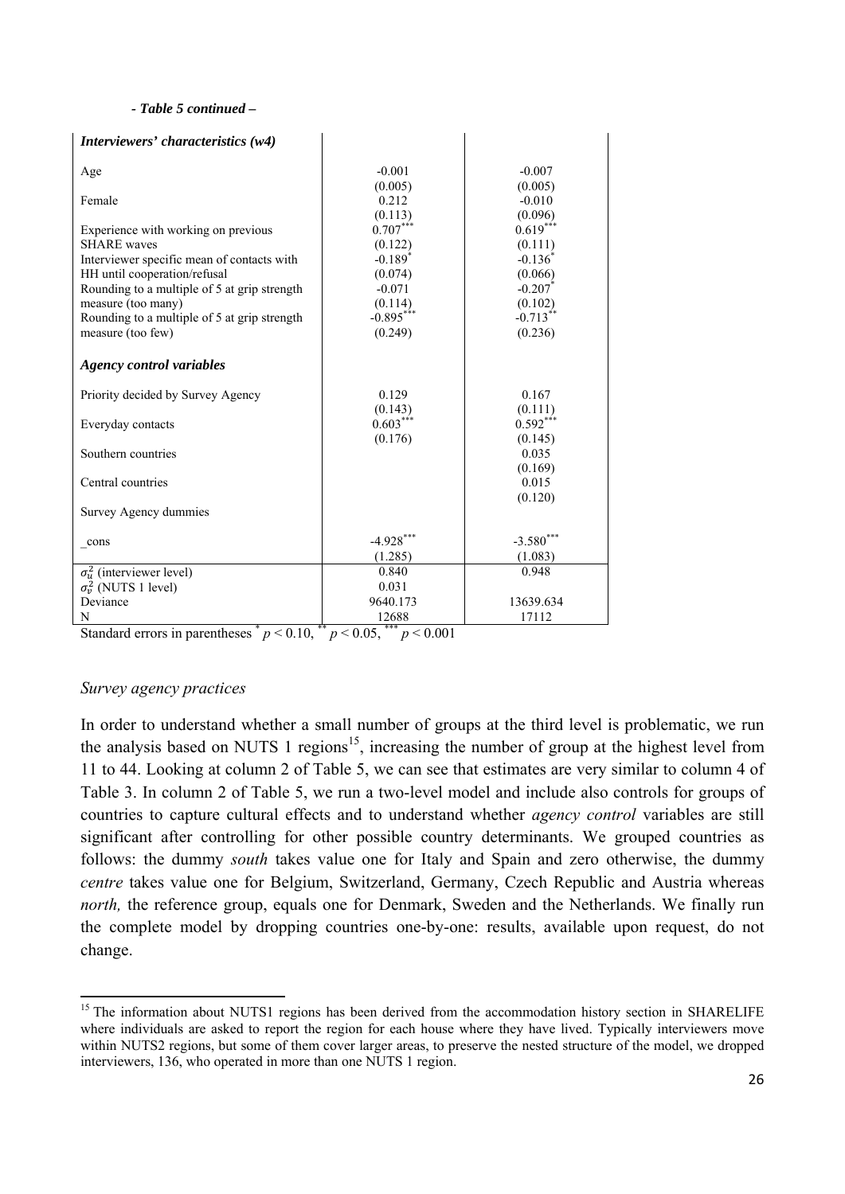#### *- Table 5 continued –*

| Interviewers' characteristics (w4)           |                       |                       |
|----------------------------------------------|-----------------------|-----------------------|
| Age                                          | $-0.001$              | $-0.007$              |
|                                              | (0.005)               | (0.005)               |
| Female                                       | 0.212                 | $-0.010$              |
|                                              | (0.113)               | (0.096)               |
| Experience with working on previous          | $0.707***$            | $0.619***$            |
| <b>SHARE</b> waves                           | (0.122)               | (0.111)               |
| Interviewer specific mean of contacts with   | $-0.189$ <sup>*</sup> | $-0.136$ <sup>*</sup> |
| HH until cooperation/refusal                 | (0.074)               | (0.066)               |
| Rounding to a multiple of 5 at grip strength | $-0.071$              | $-0.207$              |
| measure (too many)                           | (0.114)               | (0.102)               |
| Rounding to a multiple of 5 at grip strength | $-0.895***$           | $-0.713**$            |
| measure (too few)                            | (0.249)               | (0.236)               |
| <b>Agency control variables</b>              |                       |                       |
| Priority decided by Survey Agency            | 0.129                 | 0.167                 |
|                                              | (0.143)               | (0.111)               |
| Everyday contacts                            | $0.603***$            | $0.592***$            |
|                                              | (0.176)               | (0.145)               |
| Southern countries                           |                       | 0.035                 |
|                                              |                       | (0.169)               |
| Central countries                            |                       | 0.015                 |
| Survey Agency dummies                        |                       | (0.120)               |
| cons                                         | $-4.928***$           | $-3.580$ ***          |
|                                              | (1.285)               | (1.083)               |
| $\sigma_u^2$ (interviewer level)             | 0.840                 | 0.948                 |
| $\sigma_v^2$ (NUTS 1 level)                  | 0.031                 |                       |
| Deviance                                     | 9640.173              | 13639.634             |
| N                                            | 12688<br>***          | 17112                 |

Standard errors in parentheses  $p < 0.10$ ,  $p < 0.05$ ,  $p < 0.001$ 

#### *Survey agency practices*

In order to understand whether a small number of groups at the third level is problematic, we run the analysis based on NUTS 1 regions<sup>15</sup>, increasing the number of group at the highest level from 11 to 44. Looking at column 2 of Table 5, we can see that estimates are very similar to column 4 of Table 3. In column 2 of Table 5, we run a two-level model and include also controls for groups of countries to capture cultural effects and to understand whether *agency control* variables are still significant after controlling for other possible country determinants. We grouped countries as follows: the dummy *south* takes value one for Italy and Spain and zero otherwise, the dummy *centre* takes value one for Belgium, Switzerland, Germany, Czech Republic and Austria whereas *north*, the reference group, equals one for Denmark, Sweden and the Netherlands. We finally run the complete model by dropping countries one-by-one: results, available upon request, do not change.

<sup>&</sup>lt;sup>15</sup> The information about NUTS1 regions has been derived from the accommodation history section in SHARELIFE where individuals are asked to report the region for each house where they have lived. Typically interviewers move within NUTS2 regions, but some of them cover larger areas, to preserve the nested structure of the model, we dropped interviewers, 136, who operated in more than one NUTS 1 region.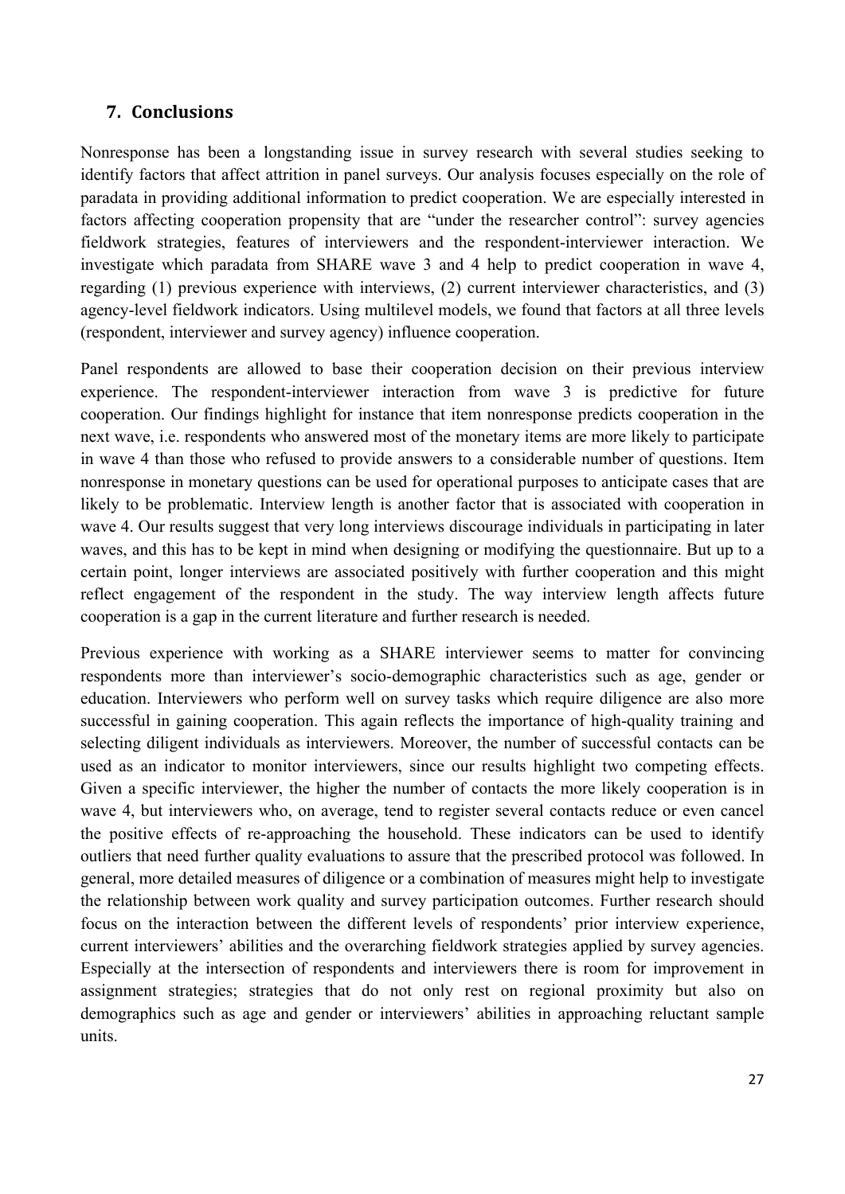## **7. Conclusions**

Nonresponse has been a longstanding issue in survey research with several studies seeking to identify factors that affect attrition in panel surveys. Our analysis focuses especially on the role of paradata in providing additional information to predict cooperation. We are especially interested in factors affecting cooperation propensity that are "under the researcher control": survey agencies fieldwork strategies, features of interviewers and the respondent-interviewer interaction. We investigate which paradata from SHARE wave 3 and 4 help to predict cooperation in wave 4, regarding (1) previous experience with interviews, (2) current interviewer characteristics, and (3) agency-level fieldwork indicators. Using multilevel models, we found that factors at all three levels (respondent, interviewer and survey agency) influence cooperation.

Panel respondents are allowed to base their cooperation decision on their previous interview experience. The respondent-interviewer interaction from wave 3 is predictive for future cooperation. Our findings highlight for instance that item nonresponse predicts cooperation in the next wave, i.e. respondents who answered most of the monetary items are more likely to participate in wave 4 than those who refused to provide answers to a considerable number of questions. Item nonresponse in monetary questions can be used for operational purposes to anticipate cases that are likely to be problematic. Interview length is another factor that is associated with cooperation in wave 4. Our results suggest that very long interviews discourage individuals in participating in later waves, and this has to be kept in mind when designing or modifying the questionnaire. But up to a certain point, longer interviews are associated positively with further cooperation and this might reflect engagement of the respondent in the study. The way interview length affects future cooperation is a gap in the current literature and further research is needed.

Previous experience with working as a SHARE interviewer seems to matter for convincing respondents more than interviewer's socio-demographic characteristics such as age, gender or education. Interviewers who perform well on survey tasks which require diligence are also more successful in gaining cooperation. This again reflects the importance of high-quality training and selecting diligent individuals as interviewers. Moreover, the number of successful contacts can be used as an indicator to monitor interviewers, since our results highlight two competing effects. Given a specific interviewer, the higher the number of contacts the more likely cooperation is in wave 4, but interviewers who, on average, tend to register several contacts reduce or even cancel the positive effects of re-approaching the household. These indicators can be used to identify outliers that need further quality evaluations to assure that the prescribed protocol was followed. In general, more detailed measures of diligence or a combination of measures might help to investigate the relationship between work quality and survey participation outcomes. Further research should focus on the interaction between the different levels of respondents' prior interview experience, current interviewers' abilities and the overarching fieldwork strategies applied by survey agencies. Especially at the intersection of respondents and interviewers there is room for improvement in assignment strategies; strategies that do not only rest on regional proximity but also on demographics such as age and gender or interviewers' abilities in approaching reluctant sample units.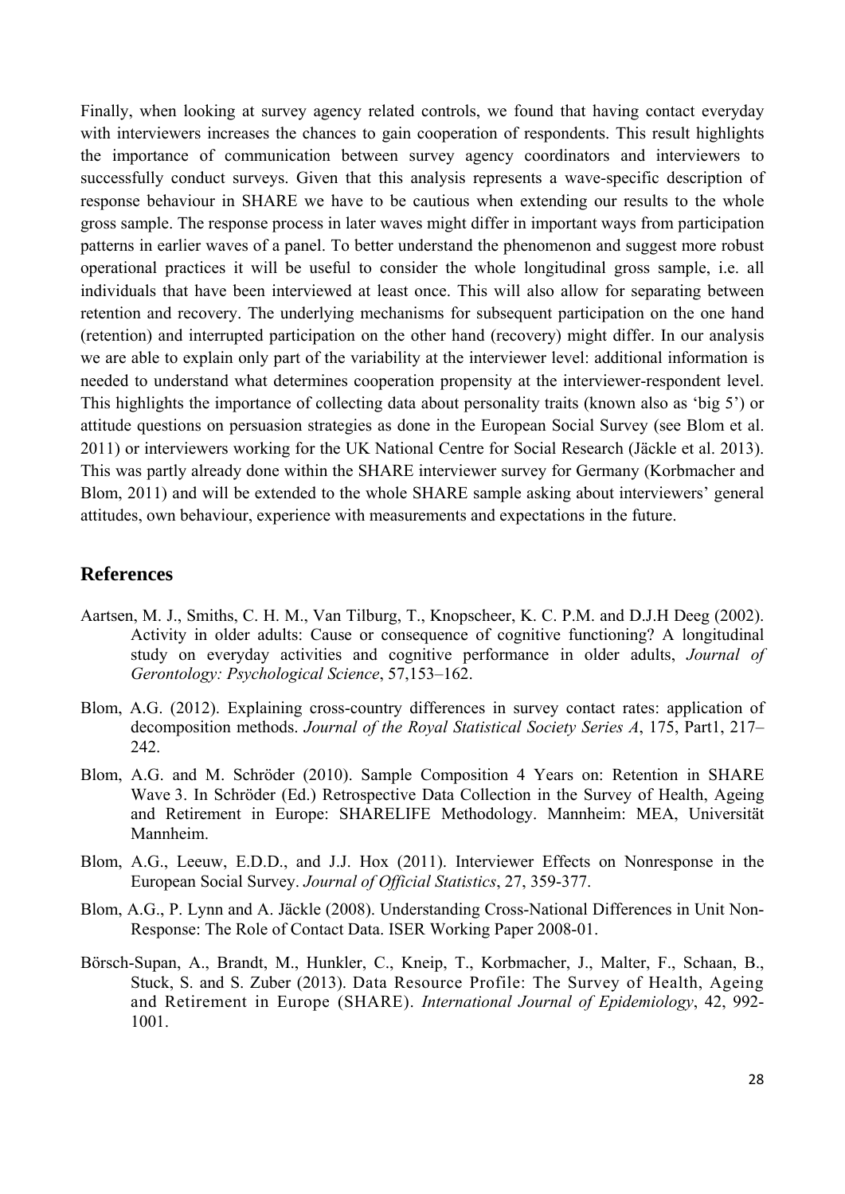Finally, when looking at survey agency related controls, we found that having contact everyday with interviewers increases the chances to gain cooperation of respondents. This result highlights the importance of communication between survey agency coordinators and interviewers to successfully conduct surveys. Given that this analysis represents a wave-specific description of response behaviour in SHARE we have to be cautious when extending our results to the whole gross sample. The response process in later waves might differ in important ways from participation patterns in earlier waves of a panel. To better understand the phenomenon and suggest more robust operational practices it will be useful to consider the whole longitudinal gross sample, i.e. all individuals that have been interviewed at least once. This will also allow for separating between retention and recovery. The underlying mechanisms for subsequent participation on the one hand (retention) and interrupted participation on the other hand (recovery) might differ. In our analysis we are able to explain only part of the variability at the interviewer level: additional information is needed to understand what determines cooperation propensity at the interviewer-respondent level. This highlights the importance of collecting data about personality traits (known also as 'big 5') or attitude questions on persuasion strategies as done in the European Social Survey (see Blom et al. 2011) or interviewers working for the UK National Centre for Social Research (Jäckle et al. 2013). This was partly already done within the SHARE interviewer survey for Germany (Korbmacher and Blom, 2011) and will be extended to the whole SHARE sample asking about interviewers' general attitudes, own behaviour, experience with measurements and expectations in the future.

### **References**

- Aartsen, M. J., Smiths, C. H. M., Van Tilburg, T., Knopscheer, K. C. P.M. and D.J.H Deeg (2002). Activity in older adults: Cause or consequence of cognitive functioning? A longitudinal study on everyday activities and cognitive performance in older adults, *Journal of Gerontology: Psychological Science*, 57,153–162.
- Blom, A.G. (2012). Explaining cross-country differences in survey contact rates: application of decomposition methods. *Journal of the Royal Statistical Society Series A*, 175, Part1, 217– 242.
- Blom, A.G. and M. Schröder (2010). Sample Composition 4 Years on: Retention in SHARE Wave 3. In Schröder (Ed.) Retrospective Data Collection in the Survey of Health, Ageing and Retirement in Europe: SHARELIFE Methodology. Mannheim: MEA, Universität Mannheim.
- Blom, A.G., Leeuw, E.D.D., and J.J. Hox (2011). Interviewer Effects on Nonresponse in the European Social Survey. *Journal of Official Statistics*, 27, 359-377.
- Blom, A.G., P. Lynn and A. Jäckle (2008). Understanding Cross-National Differences in Unit Non-Response: The Role of Contact Data. ISER Working Paper 2008-01.
- Börsch-Supan, A., Brandt, M., Hunkler, C., Kneip, T., Korbmacher, J., Malter, F., Schaan, B., Stuck, S. and S. Zuber (2013). Data Resource Profile: The Survey of Health, Ageing and Retirement in Europe (SHARE). *International Journal of Epidemiology*, 42, 992- 1001.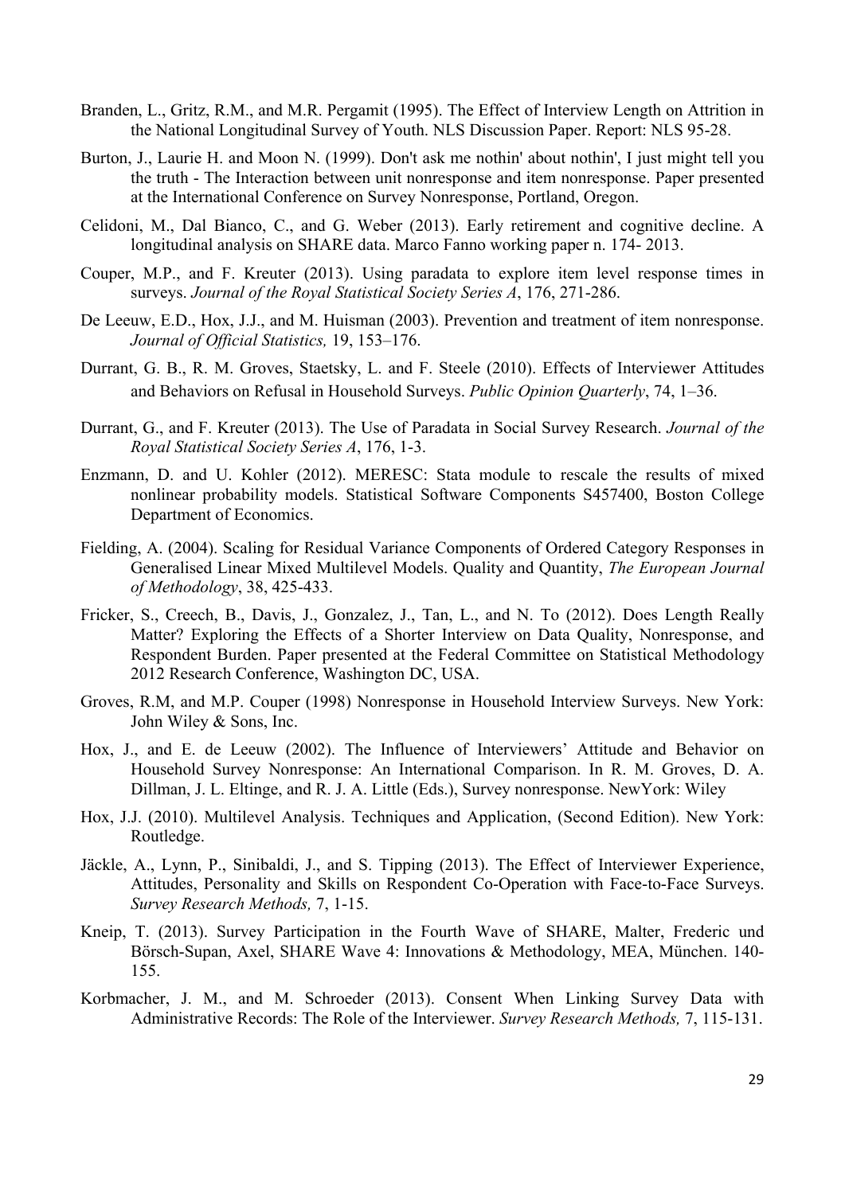- Branden, L., Gritz, R.M., and M.R. Pergamit (1995). The Effect of Interview Length on Attrition in the National Longitudinal Survey of Youth. NLS Discussion Paper. Report: NLS 95-28.
- Burton, J., Laurie H. and Moon N. (1999). Don't ask me nothin' about nothin', I just might tell you the truth - The Interaction between unit nonresponse and item nonresponse. Paper presented at the International Conference on Survey Nonresponse, Portland, Oregon.
- Celidoni, M., Dal Bianco, C., and G. Weber (2013). Early retirement and cognitive decline. A longitudinal analysis on SHARE data. Marco Fanno working paper n. 174- 2013.
- Couper, M.P., and F. Kreuter (2013). Using paradata to explore item level response times in surveys. *Journal of the Royal Statistical Society Series A*, 176, 271-286.
- De Leeuw, E.D., Hox, J.J., and M. Huisman (2003). Prevention and treatment of item nonresponse. *Journal of Official Statistics,* 19, 153–176.
- Durrant, G. B., R. M. Groves, Staetsky, L. and F. Steele (2010). Effects of Interviewer Attitudes and Behaviors on Refusal in Household Surveys. *Public Opinion Quarterly*, 74, 1–36.
- Durrant, G., and F. Kreuter (2013). The Use of Paradata in Social Survey Research. *Journal of the Royal Statistical Society Series A*, 176, 1-3.
- Enzmann, D. and U. Kohler (2012). MERESC: Stata module to rescale the results of mixed nonlinear probability models. Statistical Software Components S457400, Boston College Department of Economics.
- Fielding, A. (2004). Scaling for Residual Variance Components of Ordered Category Responses in Generalised Linear Mixed Multilevel Models. Quality and Quantity, *The European Journal of Methodology*, 38, 425-433.
- Fricker, S., Creech, B., Davis, J., Gonzalez, J., Tan, L., and N. To (2012). Does Length Really Matter? Exploring the Effects of a Shorter Interview on Data Quality, Nonresponse, and Respondent Burden. Paper presented at the Federal Committee on Statistical Methodology 2012 Research Conference, Washington DC, USA.
- Groves, R.M, and M.P. Couper (1998) Nonresponse in Household Interview Surveys. New York: John Wiley & Sons, Inc.
- Hox, J., and E. de Leeuw (2002). The Influence of Interviewers' Attitude and Behavior on Household Survey Nonresponse: An International Comparison. In R. M. Groves, D. A. Dillman, J. L. Eltinge, and R. J. A. Little (Eds.), Survey nonresponse. NewYork: Wiley
- Hox, J.J. (2010). Multilevel Analysis. Techniques and Application, (Second Edition). New York: Routledge.
- Jäckle, A., Lynn, P., Sinibaldi, J., and S. Tipping (2013). The Effect of Interviewer Experience, Attitudes, Personality and Skills on Respondent Co-Operation with Face-to-Face Surveys. *Survey Research Methods,* 7, 1-15.
- Kneip, T. (2013). Survey Participation in the Fourth Wave of SHARE, Malter, Frederic und Börsch-Supan, Axel, SHARE Wave 4: Innovations & Methodology, MEA, München. 140- 155.
- Korbmacher, J. M., and M. Schroeder (2013). Consent When Linking Survey Data with Administrative Records: The Role of the Interviewer. *Survey Research Methods,* 7, 115-131.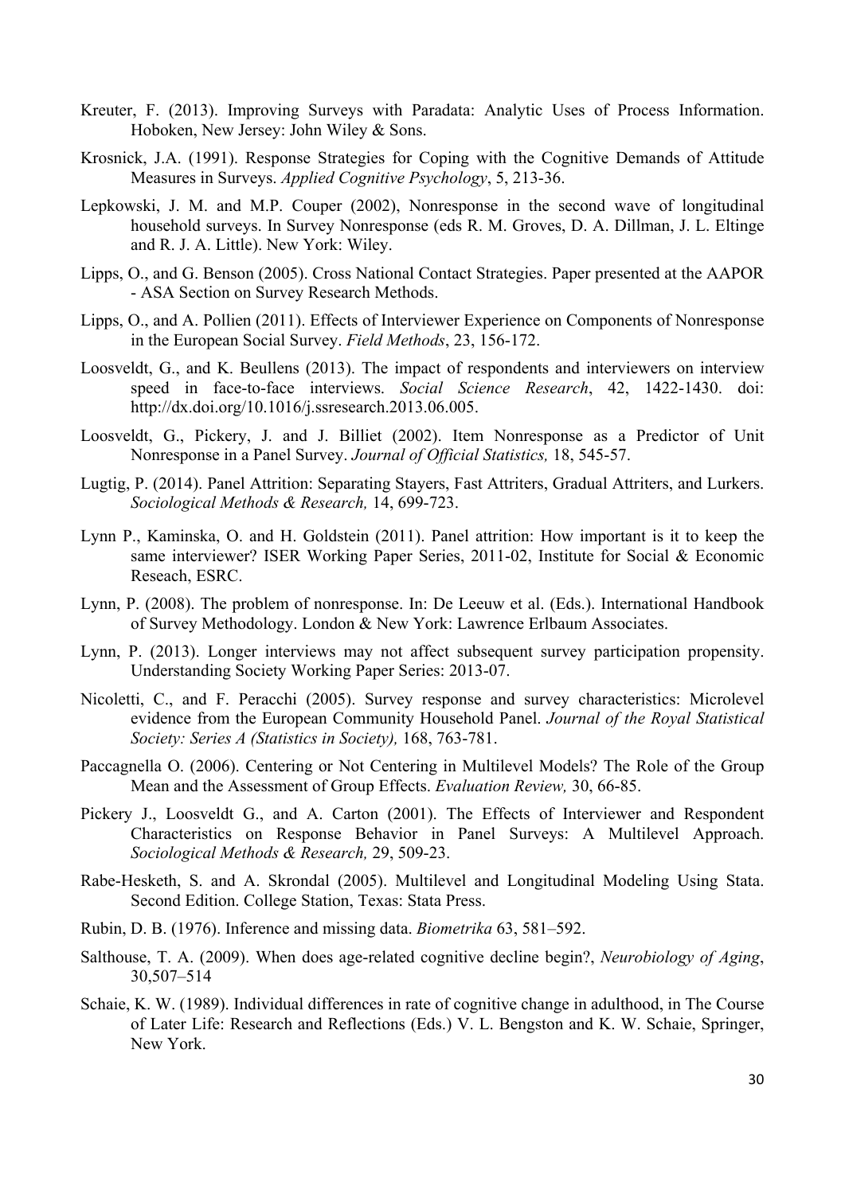- Kreuter, F. (2013). Improving Surveys with Paradata: Analytic Uses of Process Information. Hoboken, New Jersey: John Wiley & Sons.
- Krosnick, J.A. (1991). Response Strategies for Coping with the Cognitive Demands of Attitude Measures in Surveys. *Applied Cognitive Psychology*, 5, 213-36.
- Lepkowski, J. M. and M.P. Couper (2002), Nonresponse in the second wave of longitudinal household surveys. In Survey Nonresponse (eds R. M. Groves, D. A. Dillman, J. L. Eltinge and R. J. A. Little). New York: Wiley.
- Lipps, O., and G. Benson (2005). Cross National Contact Strategies. Paper presented at the AAPOR - ASA Section on Survey Research Methods.
- Lipps, O., and A. Pollien (2011). Effects of Interviewer Experience on Components of Nonresponse in the European Social Survey. *Field Methods*, 23, 156-172.
- Loosveldt, G., and K. Beullens (2013). The impact of respondents and interviewers on interview speed in face-to-face interviews. *Social Science Research*, 42, 1422-1430. doi: http://dx.doi.org/10.1016/j.ssresearch.2013.06.005.
- Loosveldt, G., Pickery, J. and J. Billiet (2002). Item Nonresponse as a Predictor of Unit Nonresponse in a Panel Survey. *Journal of Official Statistics,* 18, 545-57.
- Lugtig, P. (2014). Panel Attrition: Separating Stayers, Fast Attriters, Gradual Attriters, and Lurkers. *Sociological Methods & Research,* 14, 699-723.
- Lynn P., Kaminska, O. and H. Goldstein (2011). Panel attrition: How important is it to keep the same interviewer? ISER Working Paper Series, 2011-02, Institute for Social & Economic Reseach, ESRC.
- Lynn, P. (2008). The problem of nonresponse. In: De Leeuw et al. (Eds.). International Handbook of Survey Methodology. London & New York: Lawrence Erlbaum Associates.
- Lynn, P. (2013). Longer interviews may not affect subsequent survey participation propensity. Understanding Society Working Paper Series: 2013-07.
- Nicoletti, C., and F. Peracchi (2005). Survey response and survey characteristics: Microlevel evidence from the European Community Household Panel. *Journal of the Royal Statistical Society: Series A (Statistics in Society),* 168, 763-781.
- Paccagnella O. (2006). Centering or Not Centering in Multilevel Models? The Role of the Group Mean and the Assessment of Group Effects. *Evaluation Review,* 30, 66-85.
- Pickery J., Loosveldt G., and A. Carton (2001). The Effects of Interviewer and Respondent Characteristics on Response Behavior in Panel Surveys: A Multilevel Approach. *Sociological Methods & Research,* 29, 509-23.
- Rabe-Hesketh, S. and A. Skrondal (2005). Multilevel and Longitudinal Modeling Using Stata. Second Edition. College Station, Texas: Stata Press.
- Rubin, D. B. (1976). Inference and missing data. *Biometrika* 63, 581–592.
- Salthouse, T. A. (2009). When does age-related cognitive decline begin?, *Neurobiology of Aging*, 30,507–514
- Schaie, K. W. (1989). Individual differences in rate of cognitive change in adulthood, in The Course of Later Life: Research and Reflections (Eds.) V. L. Bengston and K. W. Schaie, Springer, New York.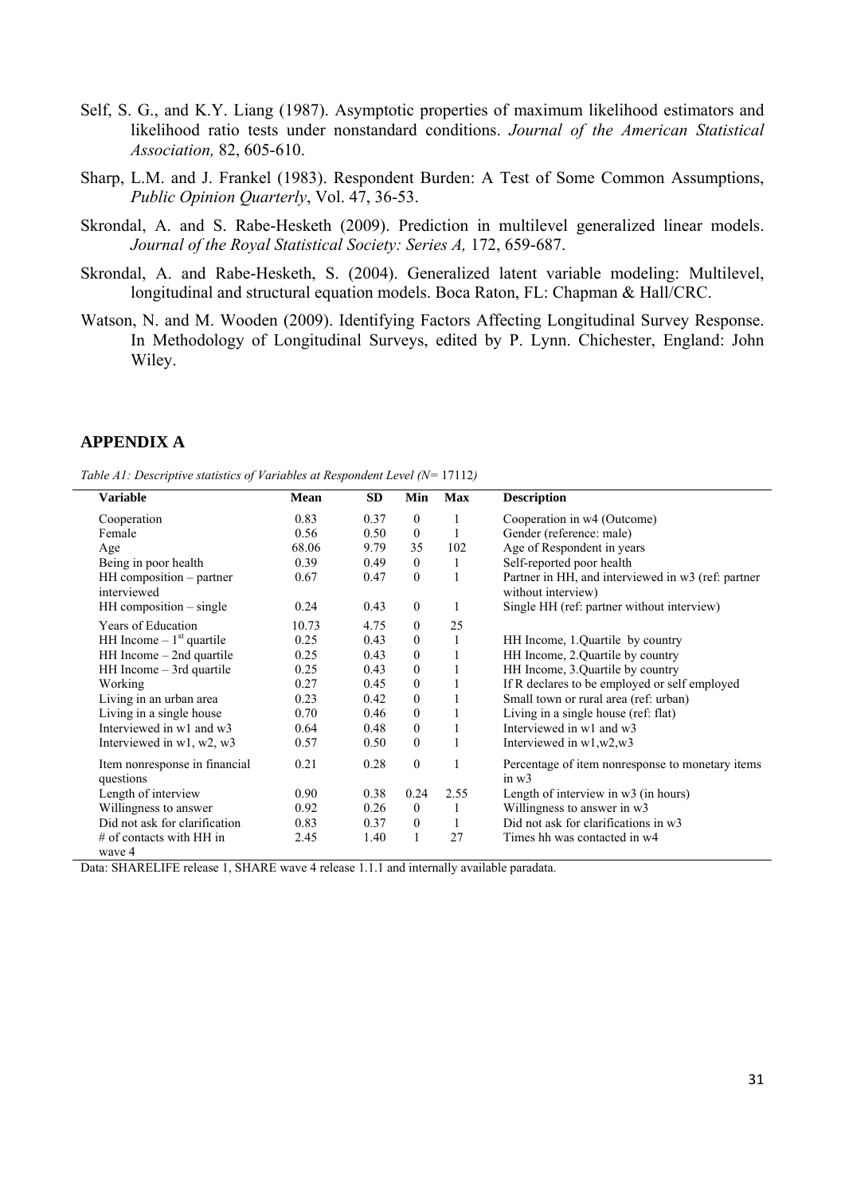- Self, S. G., and K.Y. Liang (1987). Asymptotic properties of maximum likelihood estimators and likelihood ratio tests under nonstandard conditions. *Journal of the American Statistical Association,* 82, 605-610.
- Sharp, L.M. and J. Frankel (1983). Respondent Burden: A Test of Some Common Assumptions, *Public Opinion Quarterly*, Vol. 47, 36-53.
- Skrondal, A. and S. Rabe-Hesketh (2009). Prediction in multilevel generalized linear models. *Journal of the Royal Statistical Society: Series A,* 172, 659-687.
- Skrondal, A. and Rabe-Hesketh, S. (2004). Generalized latent variable modeling: Multilevel, longitudinal and structural equation models. Boca Raton, FL: Chapman & Hall/CRC.
- Watson, N. and M. Wooden (2009). Identifying Factors Affecting Longitudinal Survey Response. In Methodology of Longitudinal Surveys, edited by P. Lynn. Chichester, England: John Wiley.

#### **APPENDIX A**

*Table A1: Descriptive statistics of Variables at Respondent Level (N=* 17112*)* 

| <b>Variable</b>               | Mean  | SD   | Min              | <b>Max</b>   | <b>Description</b>                                 |
|-------------------------------|-------|------|------------------|--------------|----------------------------------------------------|
| Cooperation                   | 0.83  | 0.37 | $\boldsymbol{0}$ | 1            | Cooperation in w4 (Outcome)                        |
| Female                        | 0.56  | 0.50 | $\mathbf{0}$     | $\mathbf{1}$ | Gender (reference: male)                           |
| Age                           | 68.06 | 9.79 | 35               | 102          | Age of Respondent in years                         |
| Being in poor health          | 0.39  | 0.49 | $\boldsymbol{0}$ | 1            | Self-reported poor health                          |
| HH composition - partner      | 0.67  | 0.47 | $\boldsymbol{0}$ |              | Partner in HH, and interviewed in w3 (ref: partner |
| interviewed                   |       |      |                  |              | without interview)                                 |
| $HH$ composition $-$ single   | 0.24  | 0.43 | $\mathbf{0}$     | 1            | Single HH (ref: partner without interview)         |
| Years of Education            | 10.73 | 4.75 | $\boldsymbol{0}$ | 25           |                                                    |
| HH Income $-1st$ quartile     | 0.25  | 0.43 | $\boldsymbol{0}$ | $\mathbf{1}$ | HH Income, 1.Quartile by country                   |
| $HH$ Income $-$ 2nd quartile  | 0.25  | 0.43 | $\boldsymbol{0}$ | 1            | HH Income, 2. Quartile by country                  |
| $HH$ Income $-$ 3rd quartile  | 0.25  | 0.43 | $\boldsymbol{0}$ | $\mathbf{1}$ | HH Income, 3.Quartile by country                   |
| Working                       | 0.27  | 0.45 | $\boldsymbol{0}$ |              | If R declares to be employed or self employed      |
| Living in an urban area       | 0.23  | 0.42 | $\boldsymbol{0}$ | $\mathbf{1}$ | Small town or rural area (ref: urban)              |
| Living in a single house      | 0.70  | 0.46 | $\boldsymbol{0}$ | $\mathbf{1}$ | Living in a single house (ref: flat)               |
| Interviewed in w1 and w3      | 0.64  | 0.48 | $\boldsymbol{0}$ | $\mathbf{1}$ | Interviewed in w1 and w3                           |
| Interviewed in w1, w2, w3     | 0.57  | 0.50 | $\boldsymbol{0}$ | 1            | Interviewed in $w1,w2,w3$                          |
| Item nonresponse in financial | 0.21  | 0.28 | $\boldsymbol{0}$ | 1            | Percentage of item nonresponse to monetary items   |
| questions                     |       |      |                  |              | in $w3$                                            |
| Length of interview           | 0.90  | 0.38 | 0.24             | 2.55         | Length of interview in w3 (in hours)               |
| Willingness to answer         | 0.92  | 0.26 | $\mathbf{0}$     | 1            | Willingness to answer in w3                        |
| Did not ask for clarification | 0.83  | 0.37 | $\mathbf{0}$     | 1            | Did not ask for clarifications in w3               |
| $#$ of contacts with HH in    | 2.45  | 1.40 | $\mathbf{1}$     | 27           | Times hh was contacted in w4                       |
| wave 4                        |       |      |                  |              |                                                    |

Data: SHARELIFE release 1, SHARE wave 4 release 1.1.1 and internally available paradata.